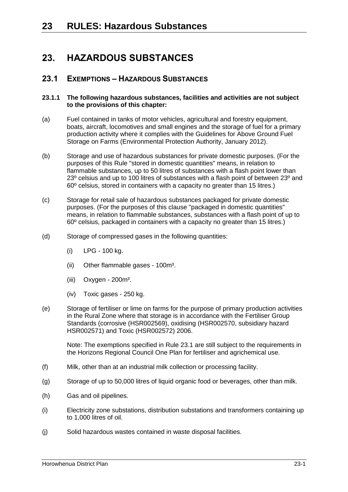## **23. HAZARDOUS SUBSTANCES**

### **23.1 EXEMPTIONS – HAZARDOUS SUBSTANCES**

#### **23.1.1 The following hazardous substances, facilities and activities are not subject to the provisions of this chapter:**

- (a) Fuel contained in tanks of motor vehicles, agricultural and forestry equipment, boats, aircraft, locomotives and small engines and the storage of fuel for a primary production activity where it complies with the Guidelines for Above Ground Fuel Storage on Farms (Environmental Protection Authority, January 2012).
- (b) Storage and use of hazardous substances for private domestic purposes. (For the purposes of this Rule "stored in domestic quantities" means, in relation to flammable substances, up to 50 litres of substances with a flash point lower than 23º celsius and up to 100 litres of substances with a flash point of between 23º and 60º celsius, stored in containers with a capacity no greater than 15 litres.)
- (c) Storage for retail sale of hazardous substances packaged for private domestic purposes. (For the purposes of this clause "packaged in domestic quantities" means, in relation to flammable substances, substances with a flash point of up to 60º celsius, packaged in containers with a capacity no greater than 15 litres.)
- (d) Storage of compressed gases in the following quantities:
	- (i) LPG 100 kg.
	- (ii) Other flammable gases 100m<sup>3</sup>.
	- $(iii)$  Oxygen 200 $m<sup>3</sup>$ .
	- (iv) Toxic gases 250 kg.
- (e) Storage of fertiliser or lime on farms for the purpose of primary production activities in the Rural Zone where that storage is in accordance with the Fertiliser Group Standards (corrosive (HSR002569), oxidising (HSR002570, subsidiary hazard HSR002571) and Toxic (HSR002572) 2006.

Note: The exemptions specified in Rule 23.1 are still subject to the requirements in the Horizons Regional Council One Plan for fertiliser and agrichemical use.

- (f) Milk, other than at an industrial milk collection or processing facility.
- (g) Storage of up to 50,000 litres of liquid organic food or beverages, other than milk.
- (h) Gas and oil pipelines.
- (i) Electricity zone substations, distribution substations and transformers containing up to 1,000 litres of oil.
- (j) Solid hazardous wastes contained in waste disposal facilities.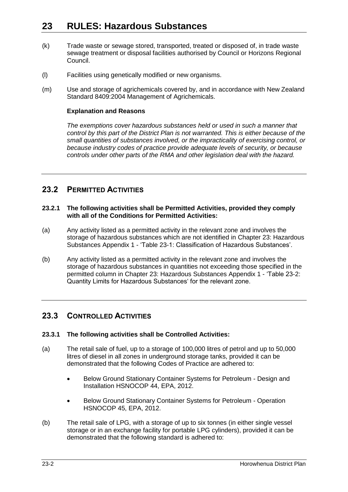- (k) Trade waste or sewage stored, transported, treated or disposed of, in trade waste sewage treatment or disposal facilities authorised by Council or Horizons Regional Council.
- (l) Facilities using genetically modified or new organisms.
- (m) Use and storage of agrichemicals covered by, and in accordance with New Zealand Standard 8409:2004 Management of Agrichemicals.

#### **Explanation and Reasons**

*The exemptions cover hazardous substances held or used in such a manner that control by this part of the District Plan is not warranted. This is either because of the small quantities of substances involved, or the impracticality of exercising control, or because industry codes of practice provide adequate levels of security, or because controls under other parts of the RMA and other legislation deal with the hazard.* 

### **23.2 PERMITTED ACTIVITIES**

#### **23.2.1 The following activities shall be Permitted Activities, provided they comply with all of the Conditions for Permitted Activities:**

- (a) Any activity listed as a permitted activity in the relevant zone and involves the storage of hazardous substances which are not identified in Chapter 23: Hazardous Substances Appendix 1 - 'Table 23-1: Classification of Hazardous Substances'.
- <span id="page-1-0"></span>(b) Any activity listed as a permitted activity in the relevant zone and involves the storage of hazardous substances in quantities not exceeding those specified in the permitted column in Chapter 23: Hazardous Substances Appendix 1 - 'Table 23-2: Quantity Limits for Hazardous Substances' for the relevant zone.

### **23.3 CONTROLLED ACTIVITIES**

#### **23.3.1 The following activities shall be Controlled Activities:**

- (a) The retail sale of fuel, up to a storage of 100,000 litres of petrol and up to 50,000 litres of diesel in all zones in underground storage tanks, provided it can be demonstrated that the following Codes of Practice are adhered to:
	- Below Ground Stationary Container Systems for Petroleum Design and Installation HSNOCOP 44, EPA, 2012.
	- Below Ground Stationary Container Systems for Petroleum Operation HSNOCOP 45, EPA, 2012.
- (b) The retail sale of LPG, with a storage of up to six tonnes (in either single vessel storage or in an exchange facility for portable LPG cylinders), provided it can be demonstrated that the following standard is adhered to: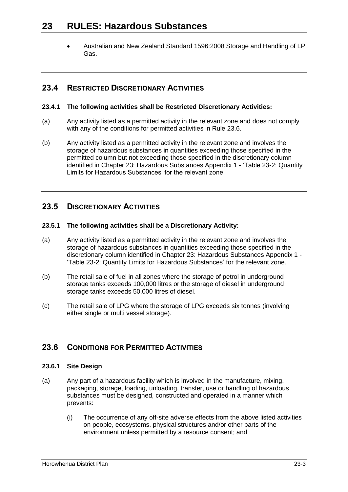Australian and New Zealand Standard 1596:2008 Storage and Handling of LP Gas.

### **23.4 RESTRICTED DISCRETIONARY ACTIVITIES**

#### **23.4.1 The following activities shall be Restricted Discretionary Activities:**

- (a) Any activity listed as a permitted activity in the relevant zone and does not comply with any of the conditions for permitted activities in Rule [23.6.](#page-2-0)
- (b) Any activity listed as a permitted activity in the relevant zone and involves the storage of hazardous substances in quantities exceeding those specified in the permitted column but not exceeding those specified in the discretionary column identified in Chapter 23: Hazardous Substances Appendix 1 - 'Table 23-2: Quantity Limits for Hazardous Substances' for the relevant zone.

### **23.5 DISCRETIONARY ACTIVITIES**

#### **23.5.1 The following activities shall be a Discretionary Activity:**

- (a) Any activity listed as a permitted activity in the relevant zone and involves the storage of hazardous substances in quantities exceeding those specified in the discretionary column identified in Chapter 23: Hazardous Substances Appendix 1 - 'Table 23-2: Quantity Limits for Hazardous Substances' for the relevant zone.
- (b) The retail sale of fuel in all zones where the storage of petrol in underground storage tanks exceeds 100,000 litres or the storage of diesel in underground storage tanks exceeds 50,000 litres of diesel.
- (c) The retail sale of LPG where the storage of LPG exceeds six tonnes (involving either single or multi vessel storage).

#### <span id="page-2-0"></span>**23.6 CONDITIONS FOR PERMITTED ACTIVITIES**

#### **23.6.1 Site Design**

- (a) Any part of a hazardous facility which is involved in the manufacture, mixing, packaging, storage, loading, unloading, transfer, use or handling of hazardous substances must be designed, constructed and operated in a manner which prevents:
	- (i) The occurrence of any off-site adverse effects from the above listed activities on people, ecosystems, physical structures and/or other parts of the environment unless permitted by a resource consent; and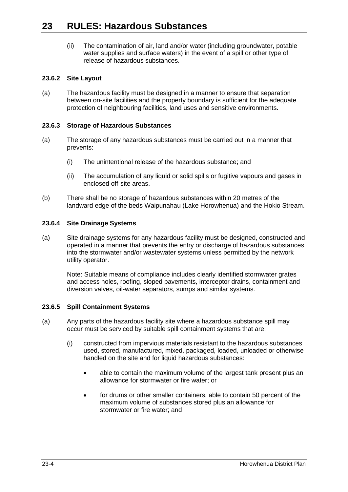(ii) The contamination of air, land and/or water (including groundwater, potable water supplies and surface waters) in the event of a spill or other type of release of hazardous substances.

#### **23.6.2 Site Layout**

(a) The hazardous facility must be designed in a manner to ensure that separation between on-site facilities and the property boundary is sufficient for the adequate protection of neighbouring facilities, land uses and sensitive environments.

#### **23.6.3 Storage of Hazardous Substances**

- (a) The storage of any hazardous substances must be carried out in a manner that prevents:
	- (i) The unintentional release of the hazardous substance; and
	- (ii) The accumulation of any liquid or solid spills or fugitive vapours and gases in enclosed off-site areas.
- (b) There shall be no storage of hazardous substances within 20 metres of the landward edge of the beds Waipunahau (Lake Horowhenua) and the Hokio Stream.

#### **23.6.4 Site Drainage Systems**

(a) Site drainage systems for any hazardous facility must be designed, constructed and operated in a manner that prevents the entry or discharge of hazardous substances into the stormwater and/or wastewater systems unless permitted by the network utility operator.

Note: Suitable means of compliance includes clearly identified stormwater grates and access holes, roofing, sloped pavements, interceptor drains, containment and diversion valves, oil-water separators, sumps and similar systems.

#### **23.6.5 Spill Containment Systems**

- (a) Any parts of the hazardous facility site where a hazardous substance spill may occur must be serviced by suitable spill containment systems that are:
	- (i) constructed from impervious materials resistant to the hazardous substances used, stored, manufactured, mixed, packaged, loaded, unloaded or otherwise handled on the site and for liquid hazardous substances:
		- able to contain the maximum volume of the largest tank present plus an allowance for stormwater or fire water; or
		- for drums or other smaller containers, able to contain 50 percent of the maximum volume of substances stored plus an allowance for stormwater or fire water; and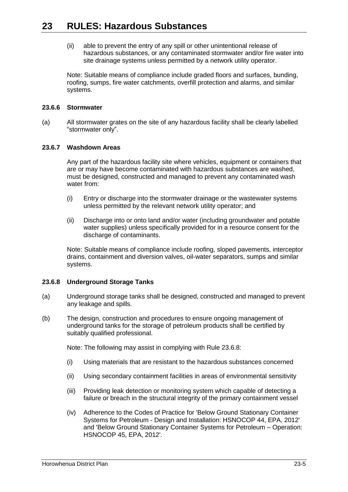(ii) able to prevent the entry of any spill or other unintentional release of hazardous substances, or any contaminated stormwater and/or fire water into site drainage systems unless permitted by a network utility operator.

Note: Suitable means of compliance include graded floors and surfaces, bunding, roofing, sumps, fire water catchments, overfill protection and alarms, and similar systems.

#### **23.6.6 Stormwater**

(a) All stormwater grates on the site of any hazardous facility shall be clearly labelled "stormwater only".

#### **23.6.7 Washdown Areas**

Any part of the hazardous facility site where vehicles, equipment or containers that are or may have become contaminated with hazardous substances are washed, must be designed, constructed and managed to prevent any contaminated wash water from:

- (i) Entry or discharge into the stormwater drainage or the wastewater systems unless permitted by the relevant network utility operator; and
- (ii) Discharge into or onto land and/or water (including groundwater and potable water supplies) unless specifically provided for in a resource consent for the discharge of contaminants.

Note: Suitable means of compliance include roofing, sloped pavements, interceptor drains, containment and diversion valves, oil-water separators, sumps and similar systems.

#### <span id="page-4-0"></span>**23.6.8 Underground Storage Tanks**

- (a) Underground storage tanks shall be designed, constructed and managed to prevent any leakage and spills.
- (b) The design, construction and procedures to ensure ongoing management of underground tanks for the storage of petroleum products shall be certified by suitably qualified professional.

Note: The following may assist in complying with Rule [23.6.8:](#page-4-0)

- (i) Using materials that are resistant to the hazardous substances concerned
- (ii) Using secondary containment facilities in areas of environmental sensitivity
- (iii) Providing leak detection or monitoring system which capable of detecting a failure or breach in the structural integrity of the primary containment vessel
- (iv) Adherence to the Codes of Practice for 'Below Ground Stationary Container Systems for Petroleum - Design and Installation: HSNOCOP 44, EPA, 2012' and 'Below Ground Stationary Container Systems for Petroleum – Operation: HSNOCOP 45, EPA, 2012'.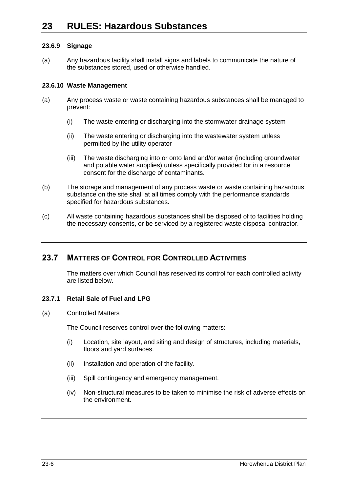#### **23.6.9 Signage**

(a) Any hazardous facility shall install signs and labels to communicate the nature of the substances stored, used or otherwise handled.

#### **23.6.10 Waste Management**

- (a) Any process waste or waste containing hazardous substances shall be managed to prevent:
	- (i) The waste entering or discharging into the stormwater drainage system
	- (ii) The waste entering or discharging into the wastewater system unless permitted by the utility operator
	- (iii) The waste discharging into or onto land and/or water (including groundwater and potable water supplies) unless specifically provided for in a resource consent for the discharge of contaminants.
- (b) The storage and management of any process waste or waste containing hazardous substance on the site shall at all times comply with the performance standards specified for hazardous substances.
- (c) All waste containing hazardous substances shall be disposed of to facilities holding the necessary consents, or be serviced by a registered waste disposal contractor.

### **23.7 MATTERS OF CONTROL FOR CONTROLLED ACTIVITIES**

The matters over which Council has reserved its control for each controlled activity are listed below.

#### **23.7.1 Retail Sale of Fuel and LPG**

#### (a) Controlled Matters

The Council reserves control over the following matters:

- (i) Location, site layout, and siting and design of structures, including materials, floors and yard surfaces.
- (ii) Installation and operation of the facility.
- (iii) Spill contingency and emergency management.
- (iv) Non-structural measures to be taken to minimise the risk of adverse effects on the environment.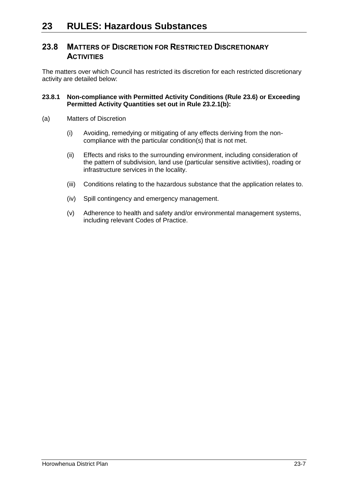### **23.8 MATTERS OF DISCRETION FOR RESTRICTED DISCRETIONARY ACTIVITIES**

The matters over which Council has restricted its discretion for each restricted discretionary activity are detailed below:

#### **23.8.1 Non-compliance with Permitted Activity Conditions (Rule [23.6\)](#page-2-0) or Exceeding Permitted Activity Quantities set out in Rule [23.2.1\(b\):](#page-1-0)**

- (a) Matters of Discretion
	- (i) Avoiding, remedying or mitigating of any effects deriving from the noncompliance with the particular condition(s) that is not met.
	- (ii) Effects and risks to the surrounding environment, including consideration of the pattern of subdivision, land use (particular sensitive activities), roading or infrastructure services in the locality.
	- (iii) Conditions relating to the hazardous substance that the application relates to.
	- (iv) Spill contingency and emergency management.
	- (v) Adherence to health and safety and/or environmental management systems, including relevant Codes of Practice.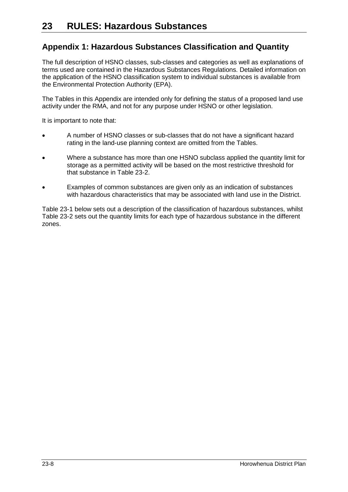## **Appendix 1: Hazardous Substances Classification and Quantity**

The full description of HSNO classes, sub-classes and categories as well as explanations of terms used are contained in the Hazardous Substances Regulations. Detailed information on the application of the HSNO classification system to individual substances is available from the Environmental Protection Authority (EPA).

The Tables in this Appendix are intended only for defining the status of a proposed land use activity under the RMA, and not for any purpose under HSNO or other legislation.

It is important to note that:

- A number of HSNO classes or sub-classes that do not have a significant hazard rating in the land-use planning context are omitted from the Tables.
- Where a substance has more than one HSNO subclass applied the quantity limit for storage as a permitted activity will be based on the most restrictive threshold for that substance in Table 23-2.
- Examples of common substances are given only as an indication of substances with hazardous characteristics that may be associated with land use in the District.

Table 23-1 below sets out a description of the classification of hazardous substances, whilst Table 23-2 sets out the quantity limits for each type of hazardous substance in the different zones.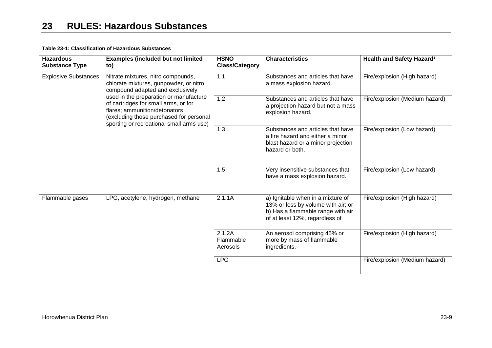#### **Table 23-1: Classification of Hazardous Substances**

| <b>Hazardous</b><br><b>Substance Type</b>            | <b>Examples (included but not limited</b><br>to)                                                                                                                                                       | <b>HSNO</b><br><b>Class/Category</b>                                                                                                           | <b>Characteristics</b>                                                                                                         | Health and Safety Hazard <sup>1</sup> |
|------------------------------------------------------|--------------------------------------------------------------------------------------------------------------------------------------------------------------------------------------------------------|------------------------------------------------------------------------------------------------------------------------------------------------|--------------------------------------------------------------------------------------------------------------------------------|---------------------------------------|
| <b>Explosive Substances</b>                          | Nitrate mixtures, nitro compounds,<br>chlorate mixtures, gunpowder, or nitro<br>compound adapted and exclusively                                                                                       | 1.1                                                                                                                                            | Substances and articles that have<br>a mass explosion hazard.                                                                  | Fire/explosion (High hazard)          |
|                                                      | used in the preparation or manufacture<br>of cartridges for small arms, or for<br>flares; ammunition/detonators<br>(excluding those purchased for personal<br>sporting or recreational small arms use) | 1.2                                                                                                                                            | Substances and articles that have<br>a projection hazard but not a mass<br>explosion hazard.                                   | Fire/explosion (Medium hazard)        |
|                                                      |                                                                                                                                                                                                        | 1.3                                                                                                                                            | Substances and articles that have<br>a fire hazard and either a minor<br>blast hazard or a minor projection<br>hazard or both. | Fire/explosion (Low hazard)           |
|                                                      |                                                                                                                                                                                                        | 1.5                                                                                                                                            | Very insensitive substances that<br>have a mass explosion hazard.                                                              | Fire/explosion (Low hazard)           |
| Flammable gases<br>LPG, acetylene, hydrogen, methane | 2.1.1A                                                                                                                                                                                                 | a) Ignitable when in a mixture of<br>13% or less by volume with air; or<br>b) Has a flammable range with air<br>of at least 12%, regardless of | Fire/explosion (High hazard)                                                                                                   |                                       |
|                                                      |                                                                                                                                                                                                        | 2.1.2A<br>Flammable<br>Aerosols                                                                                                                | An aerosol comprising 45% or<br>more by mass of flammable<br>ingredients.                                                      | Fire/explosion (High hazard)          |
|                                                      |                                                                                                                                                                                                        | <b>LPG</b>                                                                                                                                     |                                                                                                                                | Fire/explosion (Medium hazard)        |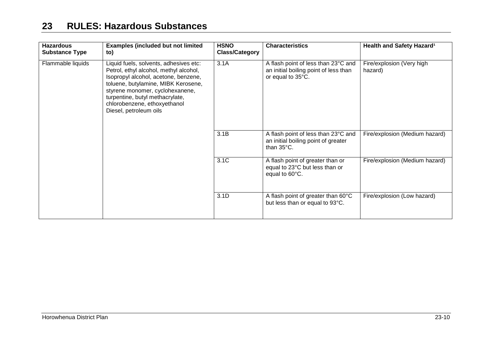| <b>Hazardous</b><br><b>Substance Type</b> | <b>Examples (included but not limited</b><br>to)                                                                                                                                                                                                                                                | <b>HSNO</b><br><b>Class/Category</b> | <b>Characteristics</b>                                                                             | Health and Safety Hazard <sup>1</sup> |
|-------------------------------------------|-------------------------------------------------------------------------------------------------------------------------------------------------------------------------------------------------------------------------------------------------------------------------------------------------|--------------------------------------|----------------------------------------------------------------------------------------------------|---------------------------------------|
| Flammable liquids                         | Liquid fuels, solvents, adhesives etc:<br>Petrol, ethyl alcohol, methyl alcohol,<br>Isopropyl alcohol, acetone, benzene,<br>toluene, butylamine, MIBK Kerosene,<br>styrene monomer, cyclohexanene,<br>turpentine, butyl methacrylate,<br>chlorobenzene, ethoxyethanol<br>Diesel, petroleum oils | 3.1A                                 | A flash point of less than 23°C and<br>an initial boiling point of less than<br>or equal to 35°C.  | Fire/explosion (Very high<br>hazard)  |
|                                           |                                                                                                                                                                                                                                                                                                 | 3.1B                                 | A flash point of less than 23°C and<br>an initial boiling point of greater<br>than $35^{\circ}$ C. | Fire/explosion (Medium hazard)        |
|                                           |                                                                                                                                                                                                                                                                                                 | 3.1C                                 | A flash point of greater than or<br>equal to 23°C but less than or<br>equal to 60°C.               | Fire/explosion (Medium hazard)        |
|                                           |                                                                                                                                                                                                                                                                                                 | 3.1D                                 | A flash point of greater than 60°C<br>but less than or equal to 93°C.                              | Fire/explosion (Low hazard)           |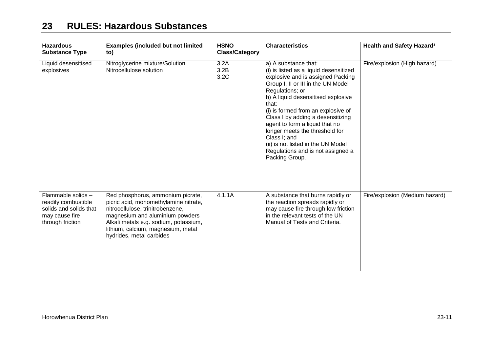| <b>Hazardous</b><br><b>Substance Type</b>                                                                 | <b>Examples (included but not limited</b><br>to)                                                                                                                                                                                                             | <b>HSNO</b><br><b>Class/Category</b> | <b>Characteristics</b>                                                                                                                                                                                                                                                                                                                                                                                                                                                  | Health and Safety Hazard <sup>1</sup> |
|-----------------------------------------------------------------------------------------------------------|--------------------------------------------------------------------------------------------------------------------------------------------------------------------------------------------------------------------------------------------------------------|--------------------------------------|-------------------------------------------------------------------------------------------------------------------------------------------------------------------------------------------------------------------------------------------------------------------------------------------------------------------------------------------------------------------------------------------------------------------------------------------------------------------------|---------------------------------------|
| Liquid desensitised<br>explosives                                                                         | Nitroglycerine mixture/Solution<br>Nitrocellulose solution                                                                                                                                                                                                   | 3.2A<br>3.2B<br>3.2C                 | a) A substance that:<br>(i) is listed as a liquid desensitized<br>explosive and is assigned Packing<br>Group I, II or III in the UN Model<br>Regulations; or<br>b) A liquid desensitised explosive<br>that:<br>(i) is formed from an explosive of<br>Class I by adding a desensitizing<br>agent to form a liquid that no<br>longer meets the threshold for<br>Class I; and<br>(ii) is not listed in the UN Model<br>Regulations and is not assigned a<br>Packing Group. | Fire/explosion (High hazard)          |
| Flammable solids -<br>readily combustible<br>solids and solids that<br>may cause fire<br>through friction | Red phosphorus, ammonium picrate,<br>picric acid, monomethylamine nitrate,<br>nitrocellulose, trinitrobenzene,<br>magnesium and aluminium powders<br>Alkali metals e.g. sodium, potassium,<br>lithium, calcium, magnesium, metal<br>hydrides, metal carbides | 4.1.1A                               | A substance that burns rapidly or<br>the reaction spreads rapidly or<br>may cause fire through low friction<br>in the relevant tests of the UN<br>Manual of Tests and Criteria.                                                                                                                                                                                                                                                                                         | Fire/explosion (Medium hazard)        |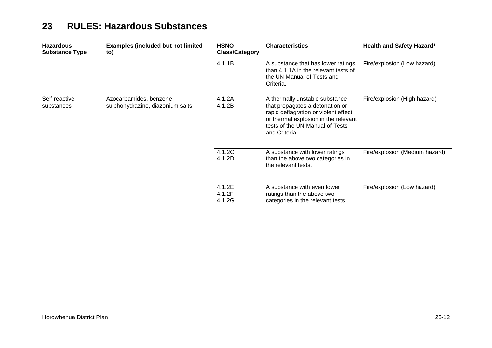| <b>Hazardous</b><br><b>Substance Type</b> | <b>Examples (included but not limited</b><br>to)           | <b>HSNO</b><br><b>Class/Category</b> | <b>Characteristics</b>                                                                                                                                                                                | Health and Safety Hazard <sup>1</sup> |
|-------------------------------------------|------------------------------------------------------------|--------------------------------------|-------------------------------------------------------------------------------------------------------------------------------------------------------------------------------------------------------|---------------------------------------|
|                                           |                                                            | 4.1.1B                               | A substance that has lower ratings<br>than 4.1.1A in the relevant tests of<br>the UN Manual of Tests and<br>Criteria.                                                                                 | Fire/explosion (Low hazard)           |
| Self-reactive<br>substances               | Azocarbamides, benzene<br>sulphohydrazine, diazonium salts | 4.1.2A<br>4.1.2B                     | A thermally unstable substance<br>that propagates a detonation or<br>rapid deflagration or violent effect<br>or thermal explosion in the relevant<br>tests of the UN Manual of Tests<br>and Criteria. | Fire/explosion (High hazard)          |
|                                           |                                                            | 4.1.2C<br>4.1.2D                     | A substance with lower ratings<br>than the above two categories in<br>the relevant tests.                                                                                                             | Fire/explosion (Medium hazard)        |
|                                           |                                                            | 4.1.2E<br>4.1.2F<br>4.1.2G           | A substance with even lower<br>ratings than the above two<br>categories in the relevant tests.                                                                                                        | Fire/explosion (Low hazard)           |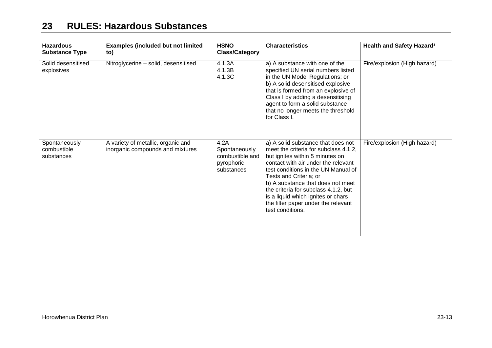| <b>Hazardous</b><br><b>Substance Type</b>  | <b>Examples (included but not limited</b><br>to)                       | <b>HSNO</b><br><b>Class/Category</b>                                 | <b>Characteristics</b>                                                                                                                                                                                                                                                                                                                                                                               | Health and Safety Hazard <sup>1</sup> |
|--------------------------------------------|------------------------------------------------------------------------|----------------------------------------------------------------------|------------------------------------------------------------------------------------------------------------------------------------------------------------------------------------------------------------------------------------------------------------------------------------------------------------------------------------------------------------------------------------------------------|---------------------------------------|
| Solid desensitised<br>explosives           | Nitroglycerine - solid, desensitised                                   | 4.1.3A<br>4.1.3B<br>4.1.3C                                           | a) A substance with one of the<br>specified UN serial numbers listed<br>in the UN Model Regulations; or<br>b) A solid desensitised explosive<br>that is formed from an explosive of<br>Class I by adding a desensitising<br>agent to form a solid substance<br>that no longer meets the threshold<br>for Class I.                                                                                    | Fire/explosion (High hazard)          |
| Spontaneously<br>combustible<br>substances | A variety of metallic, organic and<br>inorganic compounds and mixtures | 4.2A<br>Spontaneously<br>combustible and<br>pyrophoric<br>substances | a) A solid substance that does not<br>meet the criteria for subclass 4.1.2.<br>but ignites within 5 minutes on<br>contact with air under the relevant<br>test conditions in the UN Manual of<br>Tests and Criteria; or<br>b) A substance that does not meet<br>the criteria for subclass 4.1.2, but<br>is a liquid which ignites or chars<br>the filter paper under the relevant<br>test conditions. | Fire/explosion (High hazard)          |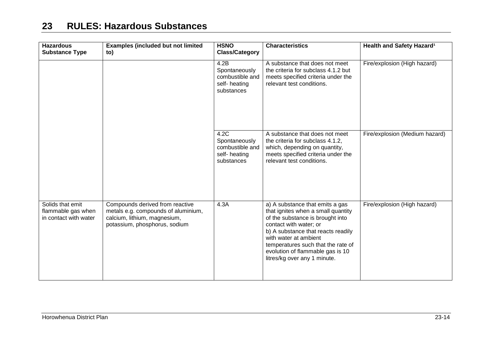| <b>Hazardous</b><br><b>Substance Type</b>                       | <b>Examples (included but not limited</b><br>to)                                                                                        | <b>HSNO</b><br><b>Class/Category</b>                                   | <b>Characteristics</b>                                                                                                                                                                                                                                                                                       | Health and Safety Hazard <sup>1</sup> |
|-----------------------------------------------------------------|-----------------------------------------------------------------------------------------------------------------------------------------|------------------------------------------------------------------------|--------------------------------------------------------------------------------------------------------------------------------------------------------------------------------------------------------------------------------------------------------------------------------------------------------------|---------------------------------------|
|                                                                 |                                                                                                                                         | 4.2B<br>Spontaneously<br>combustible and<br>self-heating<br>substances | A substance that does not meet<br>the criteria for subclass 4.1.2 but<br>meets specified criteria under the<br>relevant test conditions.                                                                                                                                                                     | Fire/explosion (High hazard)          |
|                                                                 |                                                                                                                                         | 4.2C<br>Spontaneously<br>combustible and<br>self-heating<br>substances | A substance that does not meet<br>the criteria for subclass 4.1.2,<br>which, depending on quantity,<br>meets specified criteria under the<br>relevant test conditions.                                                                                                                                       | Fire/explosion (Medium hazard)        |
| Solids that emit<br>flammable gas when<br>in contact with water | Compounds derived from reactive<br>metals e.g. compounds of aluminium,<br>calcium, lithium, magnesium,<br>potassium, phosphorus, sodium | 4.3A                                                                   | a) A substance that emits a gas<br>that ignites when a small quantity<br>of the substance is brought into<br>contact with water; or<br>b) A substance that reacts readily<br>with water at ambient<br>temperatures such that the rate of<br>evolution of flammable gas is 10<br>litres/kg over any 1 minute. | Fire/explosion (High hazard)          |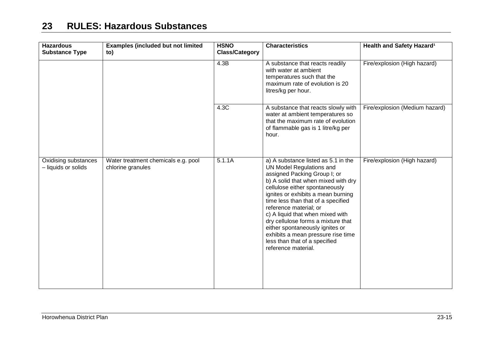| <b>Hazardous</b><br><b>Substance Type</b>   | <b>Examples (included but not limited</b><br>to)         | <b>HSNO</b><br><b>Class/Category</b> | <b>Characteristics</b>                                                                                                                                                                                                                                                                                                                                                                                                                                                                    | Health and Safety Hazard <sup>1</sup> |
|---------------------------------------------|----------------------------------------------------------|--------------------------------------|-------------------------------------------------------------------------------------------------------------------------------------------------------------------------------------------------------------------------------------------------------------------------------------------------------------------------------------------------------------------------------------------------------------------------------------------------------------------------------------------|---------------------------------------|
|                                             |                                                          | 4.3B                                 | A substance that reacts readily<br>with water at ambient<br>temperatures such that the<br>maximum rate of evolution is 20<br>litres/kg per hour.                                                                                                                                                                                                                                                                                                                                          | Fire/explosion (High hazard)          |
|                                             |                                                          | 4.3C                                 | A substance that reacts slowly with<br>water at ambient temperatures so<br>that the maximum rate of evolution<br>of flammable gas is 1 litre/kg per<br>hour.                                                                                                                                                                                                                                                                                                                              | Fire/explosion (Medium hazard)        |
| Oxidising substances<br>- liquids or solids | Water treatment chemicals e.g. pool<br>chlorine granules | 5.1.1A                               | a) A substance listed as 5.1 in the<br>UN Model Regulations and<br>assigned Packing Group I; or<br>b) A solid that when mixed with dry<br>cellulose either spontaneously<br>ignites or exhibits a mean burning<br>time less than that of a specified<br>reference material; or<br>c) A liquid that when mixed with<br>dry cellulose forms a mixture that<br>either spontaneously ignites or<br>exhibits a mean pressure rise time<br>less than that of a specified<br>reference material. | Fire/explosion (High hazard)          |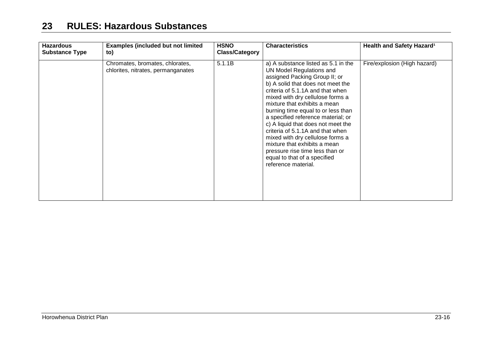| <b>Hazardous</b><br><b>Substance Type</b> | <b>Examples (included but not limited</b><br>to)                      | <b>HSNO</b><br><b>Class/Category</b> | <b>Characteristics</b>                                                                                                                                                                                                                                                                                                                                                                                                                                                                                                                                            | Health and Safety Hazard <sup>1</sup> |
|-------------------------------------------|-----------------------------------------------------------------------|--------------------------------------|-------------------------------------------------------------------------------------------------------------------------------------------------------------------------------------------------------------------------------------------------------------------------------------------------------------------------------------------------------------------------------------------------------------------------------------------------------------------------------------------------------------------------------------------------------------------|---------------------------------------|
|                                           | Chromates, bromates, chlorates,<br>chlorites, nitrates, permanganates | 5.1.1B                               | a) A substance listed as 5.1 in the<br>UN Model Regulations and<br>assigned Packing Group II; or<br>b) A solid that does not meet the<br>criteria of 5.1.1A and that when<br>mixed with dry cellulose forms a<br>mixture that exhibits a mean<br>burning time equal to or less than<br>a specified reference material; or<br>c) A liquid that does not meet the<br>criteria of 5.1.1A and that when<br>mixed with dry cellulose forms a<br>mixture that exhibits a mean<br>pressure rise time less than or<br>equal to that of a specified<br>reference material. | Fire/explosion (High hazard)          |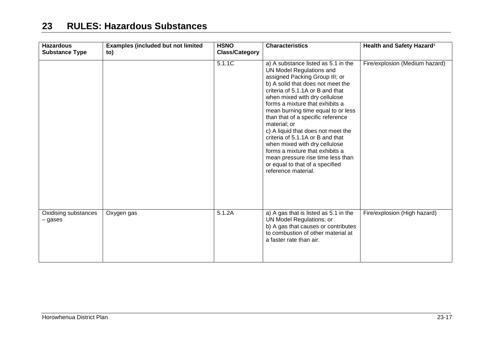| <b>Hazardous</b><br><b>Substance Type</b> | <b>Examples (included but not limited</b><br>to) | <b>HSNO</b><br><b>Class/Category</b> | <b>Characteristics</b>                                                                                                                                                                                                                                                                                                                                                                                                                                                                                                                                                                 | Health and Safety Hazard <sup>1</sup> |
|-------------------------------------------|--------------------------------------------------|--------------------------------------|----------------------------------------------------------------------------------------------------------------------------------------------------------------------------------------------------------------------------------------------------------------------------------------------------------------------------------------------------------------------------------------------------------------------------------------------------------------------------------------------------------------------------------------------------------------------------------------|---------------------------------------|
|                                           |                                                  | 5.1.1C                               | a) A substance listed as 5.1 in the<br>UN Model Regulations and<br>assigned Packing Group III; or<br>b) A solid that does not meet the<br>criteria of 5.1.1A or B and that<br>when mixed with dry cellulose<br>forms a mixture that exhibits a<br>mean burning time equal to or less<br>than that of a specific reference<br>material; or<br>c) A liquid that does not meet the<br>criteria of 5.1.1A or B and that<br>when mixed with dry cellulose<br>forms a mixture that exhibits a<br>mean pressure rise time less than<br>or equal to that of a specified<br>reference material. | Fire/explosion (Medium hazard)        |
| Oxidising substances<br>– gases           | Oxygen gas                                       | 5.1.2A                               | a) A gas that is listed as 5.1 in the<br>UN Model Regulations; or<br>b) A gas that causes or contributes<br>to combustion of other material at<br>a faster rate than air.                                                                                                                                                                                                                                                                                                                                                                                                              | Fire/explosion (High hazard)          |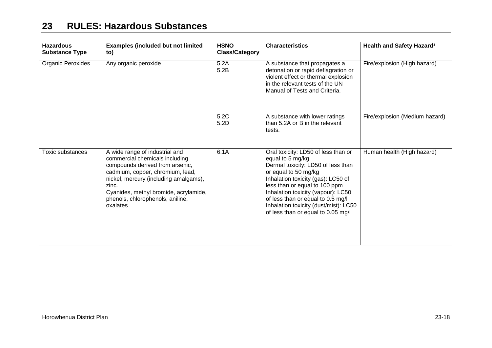| <b>Hazardous</b><br><b>Substance Type</b> | <b>Examples (included but not limited</b><br>to)                                                                                                                                                                                                                                   | <b>HSNO</b><br><b>Class/Category</b> | <b>Characteristics</b>                                                                                                                                                                                                                                                                                                                                 | Health and Safety Hazard <sup>1</sup> |
|-------------------------------------------|------------------------------------------------------------------------------------------------------------------------------------------------------------------------------------------------------------------------------------------------------------------------------------|--------------------------------------|--------------------------------------------------------------------------------------------------------------------------------------------------------------------------------------------------------------------------------------------------------------------------------------------------------------------------------------------------------|---------------------------------------|
| Organic Peroxides                         | Any organic peroxide                                                                                                                                                                                                                                                               | 5.2A<br>5.2B                         | A substance that propagates a<br>detonation or rapid deflagration or<br>violent effect or thermal explosion<br>in the relevant tests of the UN<br>Manual of Tests and Criteria.                                                                                                                                                                        | Fire/explosion (High hazard)          |
|                                           |                                                                                                                                                                                                                                                                                    | 5.2C<br>5.2D                         | A substance with lower ratings<br>than 5.2A or B in the relevant<br>tests.                                                                                                                                                                                                                                                                             | Fire/explosion (Medium hazard)        |
| <b>Toxic substances</b>                   | A wide range of industrial and<br>commercial chemicals including<br>compounds derived from arsenic,<br>cadmium, copper, chromium, lead,<br>nickel, mercury (including amalgams),<br>zinc.<br>Cyanides, methyl bromide, acrylamide,<br>phenols, chlorophenols, aniline,<br>oxalates | 6.1A                                 | Oral toxicity: LD50 of less than or<br>equal to 5 mg/kg<br>Dermal toxicity: LD50 of less than<br>or equal to 50 mg/kg<br>Inhalation toxicity (gas): LC50 of<br>less than or equal to 100 ppm<br>Inhalation toxicity (vapour): LC50<br>of less than or equal to 0.5 mg/l<br>Inhalation toxicity (dust/mist): LC50<br>of less than or equal to 0.05 mg/l | Human health (High hazard)            |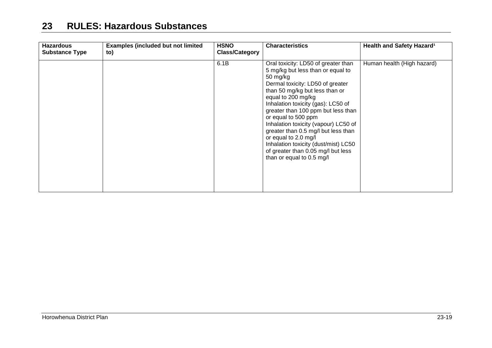| <b>Hazardous</b><br><b>Substance Type</b> | <b>Examples (included but not limited</b><br>to) | <b>HSNO</b><br><b>Class/Category</b> | <b>Characteristics</b>                                                                                                                                                                                                                                                                                                                                                                                                                                                                                | Health and Safety Hazard <sup>1</sup> |
|-------------------------------------------|--------------------------------------------------|--------------------------------------|-------------------------------------------------------------------------------------------------------------------------------------------------------------------------------------------------------------------------------------------------------------------------------------------------------------------------------------------------------------------------------------------------------------------------------------------------------------------------------------------------------|---------------------------------------|
|                                           |                                                  | 6.1B                                 | Oral toxicity: LD50 of greater than<br>5 mg/kg but less than or equal to<br>50 mg/kg<br>Dermal toxicity: LD50 of greater<br>than 50 mg/kg but less than or<br>equal to 200 mg/kg<br>Inhalation toxicity (gas): LC50 of<br>greater than 100 ppm but less than<br>or equal to 500 ppm<br>Inhalation toxicity (vapour) LC50 of<br>greater than 0.5 mg/l but less than<br>or equal to 2.0 mg/l<br>Inhalation toxicity (dust/mist) LC50<br>of greater than 0.05 mg/l but less<br>than or equal to 0.5 mg/l | Human health (High hazard)            |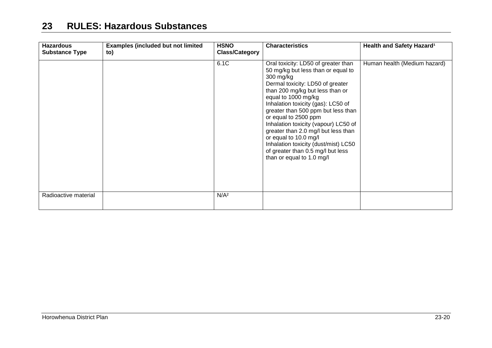| <b>Hazardous</b><br><b>Substance Type</b> | <b>Examples (included but not limited</b><br>to) | <b>HSNO</b><br><b>Class/Category</b> | <b>Characteristics</b>                                                                                                                                                                                                                                                                                                                                                                                                                                                                                     | Health and Safety Hazard <sup>1</sup> |
|-------------------------------------------|--------------------------------------------------|--------------------------------------|------------------------------------------------------------------------------------------------------------------------------------------------------------------------------------------------------------------------------------------------------------------------------------------------------------------------------------------------------------------------------------------------------------------------------------------------------------------------------------------------------------|---------------------------------------|
|                                           |                                                  | 6.1C                                 | Oral toxicity: LD50 of greater than<br>50 mg/kg but less than or equal to<br>300 mg/kg<br>Dermal toxicity: LD50 of greater<br>than 200 mg/kg but less than or<br>equal to 1000 mg/kg<br>Inhalation toxicity (gas): LC50 of<br>greater than 500 ppm but less than<br>or equal to 2500 ppm<br>Inhalation toxicity (vapour) LC50 of<br>greater than 2.0 mg/l but less than<br>or equal to 10.0 mg/l<br>Inhalation toxicity (dust/mist) LC50<br>of greater than 0.5 mg/l but less<br>than or equal to 1.0 mg/l | Human health (Medium hazard)          |
| Radioactive material                      |                                                  | N/A <sup>2</sup>                     |                                                                                                                                                                                                                                                                                                                                                                                                                                                                                                            |                                       |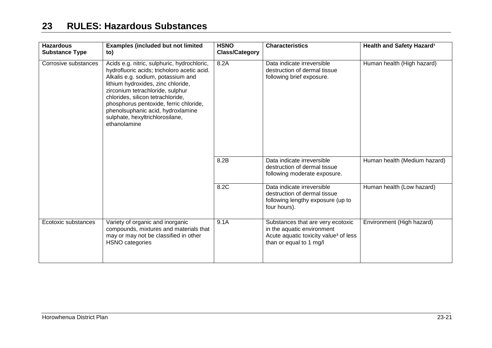| <b>Hazardous</b><br><b>Substance Type</b> | <b>Examples (included but not limited</b><br>to)                                                                                                                                                                                                                                                                                                                                  | <b>HSNO</b><br><b>Class/Category</b> | <b>Characteristics</b>                                                                                                                          | Health and Safety Hazard <sup>1</sup> |
|-------------------------------------------|-----------------------------------------------------------------------------------------------------------------------------------------------------------------------------------------------------------------------------------------------------------------------------------------------------------------------------------------------------------------------------------|--------------------------------------|-------------------------------------------------------------------------------------------------------------------------------------------------|---------------------------------------|
| Corrosive substances                      | Acids e.g. nitric, sulphuric, hydrochloric,<br>hydrofluoric acids; tricholoro acetic acid.<br>Alkalis e.g. sodium, potassium and<br>lithium hydroxides, zinc chloride,<br>zirconium tetrachloride, sulphur<br>chlorides, silicon tetrachloride,<br>phosphorus pentoxide, ferric chloride,<br>phenolsuphanic acid, hydroxlamine<br>sulphate, hexyltrichlorosilane,<br>ethanolamine | 8.2A                                 | Data indicate irreversible<br>destruction of dermal tissue<br>following brief exposure.                                                         | Human health (High hazard)            |
|                                           |                                                                                                                                                                                                                                                                                                                                                                                   | 8.2B                                 | Data indicate irreversible<br>destruction of dermal tissue<br>following moderate exposure.                                                      | Human health (Medium hazard)          |
|                                           |                                                                                                                                                                                                                                                                                                                                                                                   | 8.2C                                 | Data indicate irreversible<br>destruction of dermal tissue<br>following lengthy exposure (up to<br>four hours).                                 | Human health (Low hazard)             |
| Ecotoxic substances                       | Variety of organic and inorganic<br>compounds, mixtures and materials that<br>may or may not be classified in other<br>HSNO categories                                                                                                                                                                                                                                            | 9.1A                                 | Substances that are very ecotoxic<br>in the aquatic environment<br>Acute aquatic toxicity value <sup>3</sup> of less<br>than or equal to 1 mg/l | Environment (High hazard)             |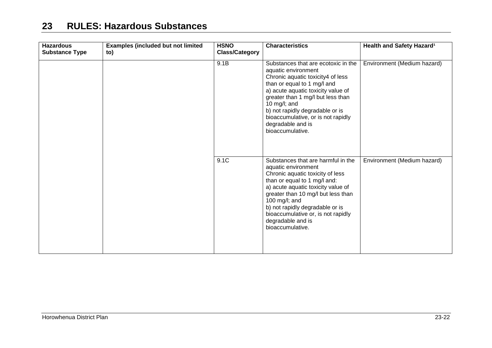| <b>Hazardous</b><br><b>Substance Type</b> | <b>Examples (included but not limited</b><br>to) | <b>HSNO</b><br><b>Class/Category</b> | <b>Characteristics</b>                                                                                                                                                                                                                                                                                                                       | Health and Safety Hazard <sup>1</sup> |
|-------------------------------------------|--------------------------------------------------|--------------------------------------|----------------------------------------------------------------------------------------------------------------------------------------------------------------------------------------------------------------------------------------------------------------------------------------------------------------------------------------------|---------------------------------------|
|                                           |                                                  | 9.1B                                 | Substances that are ecotoxic in the<br>aquatic environment<br>Chronic aquatic toxicity4 of less<br>than or equal to 1 mg/l and<br>a) acute aquatic toxicity value of<br>greater than 1 mg/l but less than<br>10 mg/l; and<br>b) not rapidly degradable or is<br>bioaccumulative, or is not rapidly<br>degradable and is<br>bioaccumulative.  | Environment (Medium hazard)           |
|                                           |                                                  | 9.1C                                 | Substances that are harmful in the<br>aquatic environment<br>Chronic aquatic toxicity of less<br>than or equal to 1 mg/l and:<br>a) acute aquatic toxicity value of<br>greater than 10 mg/l but less than<br>100 mg/l; and<br>b) not rapidly degradable or is<br>bioaccumulative or, is not rapidly<br>degradable and is<br>bioaccumulative. | Environment (Medium hazard)           |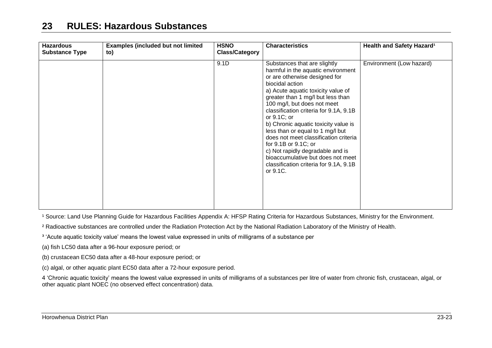| <b>Hazardous</b><br><b>Substance Type</b> | <b>Examples (included but not limited)</b><br>to) | <b>HSNO</b><br><b>Class/Category</b> | <b>Characteristics</b>                                                                                                                                                                                                                                                                                                                                                                                                                                                                                                                                                   | Health and Safety Hazard <sup>1</sup> |
|-------------------------------------------|---------------------------------------------------|--------------------------------------|--------------------------------------------------------------------------------------------------------------------------------------------------------------------------------------------------------------------------------------------------------------------------------------------------------------------------------------------------------------------------------------------------------------------------------------------------------------------------------------------------------------------------------------------------------------------------|---------------------------------------|
|                                           |                                                   | 9.1D                                 | Substances that are slightly<br>harmful in the aquatic environment<br>or are otherwise designed for<br>biocidal action<br>a) Acute aquatic toxicity value of<br>greater than 1 mg/l but less than<br>100 mg/l, but does not meet<br>classification criteria for 9.1A, 9.1B<br>or $9.1C$ ; or<br>b) Chronic aquatic toxicity value is<br>less than or equal to 1 mg/l but<br>does not meet classification criteria<br>for 9.1B or 9.1C; or<br>c) Not rapidly degradable and is<br>bioaccumulative but does not meet<br>classification criteria for 9.1A, 9.1B<br>or 9.1C. | Environment (Low hazard)              |

<sup>1</sup> Source: Land Use Planning Guide for Hazardous Facilities Appendix A: HFSP Rating Criteria for Hazardous Substances, Ministry for the Environment.

<sup>2</sup> Radioactive substances are controlled under the Radiation Protection Act by the National Radiation Laboratory of the Ministry of Health.

<sup>3</sup> 'Acute aquatic toxicity value' means the lowest value expressed in units of milligrams of a substance per

(a) fish LC50 data after a 96-hour exposure period; or

(b) crustacean EC50 data after a 48-hour exposure period; or

(c) algal, or other aquatic plant EC50 data after a 72-hour exposure period.

4 'Chronic aquatic toxicity' means the lowest value expressed in units of milligrams of a substances per litre of water from chronic fish, crustacean, algal, or other aquatic plant NOEC (no observed effect concentration) data.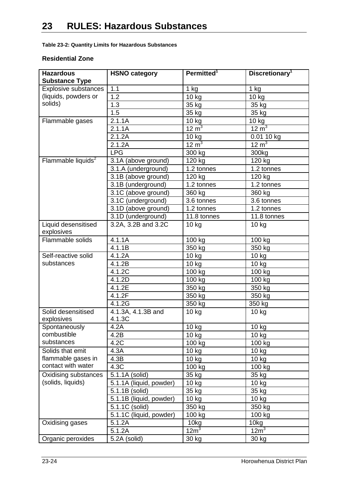**Table 23-2: Quantity Limits for Hazardous Substances**

#### **Residential Zone**

| <b>Hazardous</b>               | <b>HSNO category</b>    | Permitted <sup>1</sup>                 | Discretionary <sup>1</sup>    |
|--------------------------------|-------------------------|----------------------------------------|-------------------------------|
| <b>Substance Type</b>          |                         |                                        |                               |
| <b>Explosive substances</b>    | 1.1                     | 1 kg                                   | $\overline{1}$ kg             |
| (liquids, powders or           | 1.2                     | 10 kg                                  | 10 kg                         |
| solids)                        | 1.3                     | 35 kg                                  | 35 kg                         |
|                                | 1.5                     | 35 kg                                  | 35 kg                         |
| Flammable gases                | 2.1.1A                  |                                        | 10 kg                         |
|                                | 2.1.1A                  | $\frac{10 \text{ kg}}{12 \text{ m}^3}$ | $\frac{3}{12}$ m <sup>3</sup> |
|                                | 2.1.2A                  | 10 kg                                  | 0.01 10 kg                    |
|                                | 2.1.2A                  | 12 m <sup>3</sup>                      | $12 \text{ m}^3$              |
|                                | <b>LPG</b>              | 300 kg                                 | 300kg                         |
| Flammable liquids <sup>2</sup> | 3.1A (above ground)     | 120 kg                                 | 120 kg                        |
|                                | 3.1.A (underground)     | 1.2 tonnes                             | 1.2 tonnes                    |
|                                | 3.1B (above ground)     | 120 kg                                 | 120 kg                        |
|                                | 3.1B (underground)      | 1.2 tonnes                             | 1.2 tonnes                    |
|                                | 3.1C (above ground)     | 360 kg                                 | 360 kg                        |
|                                | 3.1C (underground)      | 3.6 tonnes                             | 3.6 tonnes                    |
|                                | 3.1D (above ground)     | 1.2 tonnes                             | 1.2 tonnes                    |
|                                | 3.1D (underground)      | 11.8 tonnes                            | 11.8 tonnes                   |
| Liquid desensitised            | 3.2A, 3.2B and 3.2C     | $10$ kg                                | 10 <sub>kg</sub>              |
| explosives                     |                         |                                        |                               |
| Flammable solids               | 4.1.1A                  | 100 kg                                 | 100 kg                        |
|                                | 4.1.1B                  | 350 kg                                 | 350 kg                        |
| Self-reactive solid            | 4.1.2A                  | 10 kg                                  | 10 kg                         |
| substances                     | 4.1.2B                  | 10 kg                                  | 10 kg                         |
|                                | 4.1.2C                  | 100 kg                                 | 100 kg                        |
|                                | 4.1.2D                  | 100 kg                                 | 100 kg                        |
|                                | 4.1.2E                  | 350 kg                                 | 350 kg                        |
|                                | 4.1.2F                  | 350 kg                                 | 350 kg                        |
|                                | 4.1.2G                  | 350 kg                                 | 350 kg                        |
| Solid desensitised             | 4.1.3A, 4.1.3B and      | 10 kg                                  | $10$ kg                       |
| explosives                     | 4.1.3C                  |                                        |                               |
| Spontaneously                  | 4.2A                    | 10 kg                                  | 10 kg                         |
| combustible                    | 4.2B                    | 10 kg                                  | 10 kg                         |
| substances                     | 4.2C                    | 100 kg                                 | 100 kg                        |
| Solids that emit               | 4.3A                    | $10$ kg                                | 10 kg                         |
| flammable gases in             | 4.3B                    | 10 kg                                  | 10 kg                         |
| contact with water             | 4.3C                    | 100 kg                                 | 100 kg                        |
| Oxidising substances           | 5.1.1A (solid)          | 35 kg                                  | 35 kg                         |
| (solids, liquids)              | 5.1.1A (liquid, powder) | 10 kg                                  | 10 kg                         |
|                                | 5.1.1B (solid)          | 35 kg                                  | 35 kg                         |
|                                | 5.1.1B (liquid, powder) | $10$ kg                                | $10$ kg                       |
|                                | 5.1.1C (solid)          | 350 kg                                 | 350 kg                        |
|                                | 5.1.1C (liquid, powder) | 100 kg                                 | 100 kg                        |
| Oxidising gases                | 5.1.2A                  | 10kg                                   | 10kg                          |
|                                | 5.1.2A                  | $12m^3$                                | 12m <sup>3</sup>              |
| Organic peroxides              | 5.2A (solid)            | 30 kg                                  | 30 kg                         |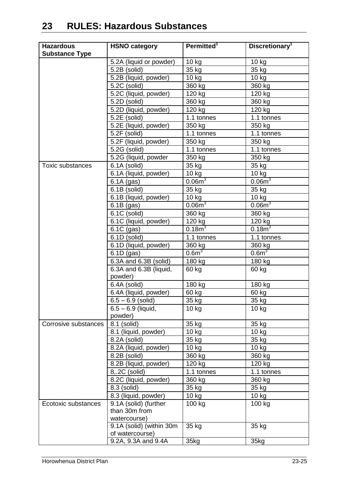| <b>Hazardous</b>        | <b>HSNO category</b>      | Permitted <sup>1</sup> | Discretionary <sup>1</sup> |
|-------------------------|---------------------------|------------------------|----------------------------|
| <b>Substance Type</b>   |                           |                        |                            |
|                         | 5.2A (liquid or powder)   | 10 kg                  | 10 kg                      |
|                         | 5.2B (solid)              | 35 kg                  | 35 kg                      |
|                         | 5.2B (liquid, powder)     | $10$ kg                | $10$ kg                    |
|                         | $\overline{5.2}C$ (solid) | 360 kg                 | 360 kg                     |
|                         | 5.2C (liquid, powder)     | 120 kg                 | 120 kg                     |
|                         | 5.2D (solid)              | 360 kg                 | 360 kg                     |
|                         | 5.2D (liquid, powder)     | 120 kg                 | $120$ kg                   |
|                         | 5.2E (solid)              | 1.1 tonnes             | 1.1 tonnes                 |
|                         | 5.2E (liquid, powder)     | 350 kg                 | 350 kg                     |
|                         | 5.2F (solid)              | 1.1 tonnes             | 1.1 tonnes                 |
|                         | 5.2F (liquid, powder)     | 350 kg                 | 350 kg                     |
|                         | 5.2G (solid)              | 1.1 tonnes             | 1.1 tonnes                 |
|                         | 5.2G (liquid, powder      | 350 kg                 | 350 kg                     |
| <b>Toxic substances</b> | 6.1A (solid)              | 35 kg                  | 35 kg                      |
|                         | 6.1A (liquid, powder)     | $10$ kg                | 10 kg                      |
|                         | $6.1A$ (gas)              | 0.06m <sup>3</sup>     | 0.06m <sup>3</sup>         |
|                         | 6.1B (solid)              | 35 kg                  | 35 kg                      |
|                         | 6.1B (liquid, powder)     | 10 kg                  | 10 kg                      |
|                         | $6.1B$ (gas)              | 0.06m <sup>3</sup>     | $0.06m^3$                  |
|                         | $\overline{6.1C}$ (solid) | 360 kg                 | 360 kg                     |
|                         | 6.1C (liquid, powder)     | 120 kg                 | 120 kg                     |
|                         | 6.1C (gas)                | $0.18m^3$              | $0.18m^3$                  |
|                         | 6.1D (solid)              | 1.1 tonnes             | 1.1 tonnes                 |
|                         | 6.1D (liquid, powder)     | 360 kg                 | 360 kg                     |
|                         | $6.1D$ (gas)              | 0.6 <sup>3</sup>       | 0.6 <sup>1</sup>           |
|                         | 6.3A and 6.3B (solid)     | 180 kg                 | 180 kg                     |
|                         | 6.3A and 6.3B (liquid,    | 60 kg                  | 60 kg                      |
|                         | powder)                   |                        |                            |
|                         | 6.4A (solid)              | 180 kg                 | 180 kg                     |
|                         | 6.4A (liquid, powder)     | 60 kg                  | 60 kg                      |
|                         | $6.5 - 6.9$ (solid)       | 35 kg                  | 35 kg                      |
|                         | $6.5 - 6.9$ (liquid,      | 10 kg                  | 10 kg                      |
|                         | powder)                   |                        |                            |
| Corrosive substances    | 8.1 (solid)               | 35 kg                  | 35 kg                      |
|                         | 8.1 (liquid, powder)      | $10$ kg                | 10 kg                      |
|                         | 8.2A (solid)              | 35 kg                  | 35 kg                      |
|                         | 8.2A (liquid, powder)     | 10 kg                  | $10$ kg                    |
|                         | 8.2B (solid)              | 360 kg                 | 360 kg                     |
|                         | 8.2B (liquid, powder)     | 120 kg                 | 120 kg                     |
|                         | 8,.2C (solid)             | 1.1 tonnes             | 1.1 tonnes                 |
|                         | 8.2C (liquid, powder)     | 360 kg                 | 360 kg                     |
|                         | 8.3 (solid)               | 35 kg                  | 35 kg                      |
|                         | 8.3 (liquid, powder)      | $10$ kg                | $10$ kg                    |
| Ecotoxic substances     | 9.1A (solid) (further     | 100 kg                 | 100 kg                     |
|                         | than 30m from             |                        |                            |
|                         | watercourse)              |                        |                            |
|                         | 9.1A (solid) (within 30m  | 35 kg                  | 35 kg                      |
|                         | of watercourse)           |                        |                            |
|                         | 9.2A, 9.3A and 9.4A       | 35kg                   | 35kg                       |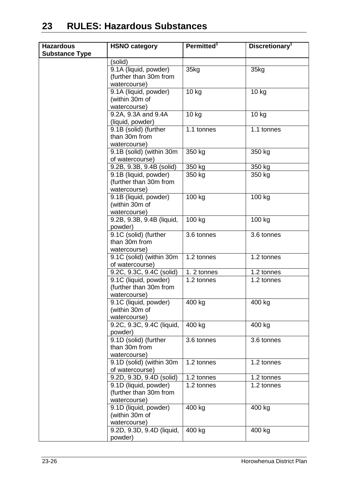| <b>Hazardous</b>      | <b>HSNO category</b>                        | Permitted <sup>1</sup> | Discretionary <sup>1</sup> |
|-----------------------|---------------------------------------------|------------------------|----------------------------|
| <b>Substance Type</b> |                                             |                        |                            |
|                       | (solid)                                     |                        |                            |
|                       | 9.1A (liquid, powder)                       | 35kg                   | 35kg                       |
|                       | (further than 30m from                      |                        |                            |
|                       | watercourse)                                |                        |                            |
|                       | 9.1A (liquid, powder)                       | 10 kg                  | 10 kg                      |
|                       | (within 30m of                              |                        |                            |
|                       | watercourse)                                |                        |                            |
|                       | 9.2A, 9.3A and 9.4A                         | 10 kg                  | $10$ kg                    |
|                       | (liquid, powder)                            |                        |                            |
|                       | 9.1B (solid) (further                       | 1.1 tonnes             | 1.1 tonnes                 |
|                       | than 30m from                               |                        |                            |
|                       | watercourse)                                |                        |                            |
|                       | 9.1B (solid) (within 30m<br>of watercourse) | 350 kg                 | 350 kg                     |
|                       | 9.2B, 9.3B, 9.4B (solid)                    | 350 kg                 | 350 kg                     |
|                       | 9.1B (liquid, powder)                       | 350 kg                 | 350 kg                     |
|                       | (further than 30m from                      |                        |                            |
|                       | watercourse)                                |                        |                            |
|                       | 9.1B (liquid, powder)                       | 100 kg                 | 100 kg                     |
|                       | (within 30m of                              |                        |                            |
|                       | watercourse)                                |                        |                            |
|                       | 9.2B, 9.3B, 9.4B (liquid,                   | 100 kg                 | 100 kg                     |
|                       | powder)                                     |                        |                            |
|                       | 9.1C (solid) (further<br>than 30m from      | 3.6 tonnes             | 3.6 tonnes                 |
|                       | watercourse)                                |                        |                            |
|                       | 9.1C (solid) (within 30m                    | 1.2 tonnes             | 1.2 tonnes                 |
|                       | of watercourse)                             |                        |                            |
|                       | 9.2C, 9.3C, 9.4C (solid)                    | 1.2 tonnes             | 1.2 tonnes                 |
|                       | 9.1C (liquid, powder)                       | 1.2 tonnes             | 1.2 tonnes                 |
|                       | (further than 30m from                      |                        |                            |
|                       | watercourse)                                |                        |                            |
|                       | 9.1C (liquid, powder)                       | 400 kg                 | 400 kg                     |
|                       | (within 30m of                              |                        |                            |
|                       | watercourse)                                |                        |                            |
|                       | 9.2C, 9.3C, 9.4C (liquid,                   | 400 kg                 | 400 kg                     |
|                       | powder)                                     |                        |                            |
|                       | 9.1D (solid) (further                       | 3.6 tonnes             | 3.6 tonnes                 |
|                       | than 30m from                               |                        |                            |
|                       | watercourse)                                |                        |                            |
|                       | 9.1D (solid) (within 30m                    | 1.2 tonnes             | 1.2 tonnes                 |
|                       | of watercourse)                             |                        |                            |
|                       | 9.2D, 9.3D, 9.4D (solid)                    | 1.2 tonnes             | 1.2 tonnes                 |
|                       | 9.1D (liquid, powder)                       | 1.2 tonnes             | 1.2 tonnes                 |
|                       | (further than 30m from<br>watercourse)      |                        |                            |
|                       | 9.1D (liquid, powder)                       | 400 kg                 | 400 kg                     |
|                       | (within 30m of                              |                        |                            |
|                       | watercourse)                                |                        |                            |
|                       | 9.2D, 9.3D, 9.4D (liquid,                   | 400 kg                 | 400 kg                     |
|                       | powder)                                     |                        |                            |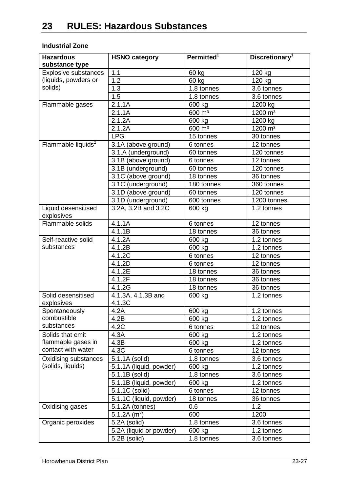#### **Industrial Zone**

| <b>Hazardous</b><br>substance type | <b>HSNO category</b>         | Permitted <sup>1</sup> | Discretionary <sup>1</sup> |
|------------------------------------|------------------------------|------------------------|----------------------------|
| <b>Explosive substances</b>        | 1.1                          | 60 kg                  | 120 kg                     |
| (liquids, powders or               | 1.2                          | 60 kg                  | 120 kg                     |
| solids)                            | 1.3                          | 1.8 tonnes             | $\overline{3.6}$ tonnes    |
|                                    | 1.5                          | 1.8 tonnes             | 3.6 tonnes                 |
| Flammable gases                    | 2.1.1A                       | 600 kg                 | 1200 kg                    |
|                                    | 2.1.1A                       | 600 m <sup>3</sup>     | 1200 m <sup>3</sup>        |
|                                    | 2.1.2A                       | 600 kg                 | 1200 kg                    |
|                                    | 2.1.2A                       | 600 m <sup>3</sup>     | $1200 \text{ m}^3$         |
|                                    | <b>LPG</b>                   | 15 tonnes              | 30 tonnes                  |
| Flammable liquids <sup>2</sup>     | 3.1A (above ground)          | 6 tonnes               | 12 tonnes                  |
|                                    | 3.1.A (underground)          | 60 tonnes              | 120 tonnes                 |
|                                    | 3.1B (above ground)          | 6 tonnes               | 12 tonnes                  |
|                                    | 3.1B (underground)           | 60 tonnes              | 120 tonnes                 |
|                                    | 3.1C (above ground)          | 18 tonnes              | 36 tonnes                  |
|                                    | 3.1C (underground)           | 180 tonnes             | 360 tonnes                 |
|                                    | 3.1D (above ground)          | 60 tonnes              | 120 tonnes                 |
|                                    | 3.1D (underground)           | 600 tonnes             | 1200 tonnes                |
| Liquid desensitised<br>explosives  | $3.2A$ , $3.2B$ and $3.2C$   | 600 kg                 | $\overline{1}$ .2 tonnes   |
| Flammable solids                   | 4.1.1A                       | 6 tonnes               | 12 tonnes                  |
|                                    | 4.1.1B                       | 18 tonnes              | 36 tonnes                  |
| Self-reactive solid                | 4.1.2A                       | 600 kg                 | 1.2 tonnes                 |
| substances                         | 4.1.2B                       | 600 kg                 | 1.2 tonnes                 |
|                                    | 4.1.2C                       | 6 tonnes               | 12 tonnes                  |
|                                    | 4.1.2D                       | 6 tonnes               | 12 tonnes                  |
|                                    | 4.1.2E                       | 18 tonnes              | 36 tonnes                  |
|                                    | 4.1.2F                       | 18 tonnes              | 36 tonnes                  |
|                                    | 4.1.2G                       | 18 tonnes              | 36 tonnes                  |
| Solid desensitised<br>explosives   | 4.1.3A, 4.1.3B and<br>4.1.3C | 600 kg                 | 1.2 tonnes                 |
| Spontaneously                      | 4.2A                         | 600 kg                 | 1.2 tonnes                 |
| combustible                        | 4.2B                         | 600 kg                 | 1.2 tonnes                 |
| substances                         | 4.2C                         | 6 tonnes               | 12 tonnes                  |
| Solids that emit                   | 4.3A                         | 600 kg                 | 1.2 tonnes                 |
| flammable gases in                 | 4.3B                         | 600 kg                 | 1.2 tonnes                 |
| contact with water                 | 4.3C                         | 6 tonnes               | 12 tonnes                  |
| Oxidising substances               | 5.1.1A (solid)               | 1.8 tonnes             | 3.6 tonnes                 |
| (solids, liquids)                  | 5.1.1A (liquid, powder)      | 600 kg                 | 1.2 tonnes                 |
|                                    | 5.1.1B (solid)               | 1.8 tonnes             | 3.6 tonnes                 |
|                                    | 5.1.1B (liquid, powder)      | 600 kg                 | 1.2 tonnes                 |
|                                    | 5.1.1C (solid)               | 6 tonnes               | 12 tonnes                  |
|                                    | 5.1.1C (liquid, powder)      | 18 tonnes              | 36 tonnes                  |
| Oxidising gases                    | 5.1.2A (tonnes)              | 0.6                    | 1.2                        |
|                                    | 5.1.2A $(m^3)$               | 600                    | 1200                       |
| Organic peroxides                  | 5.2A (solid)                 | 1.8 tonnes             | 3.6 tonnes                 |
|                                    | 5.2A (liquid or powder)      | 600 kg                 | 1.2 tonnes                 |
|                                    | 5.2B (solid)                 | 1.8 tonnes             | 3.6 tonnes                 |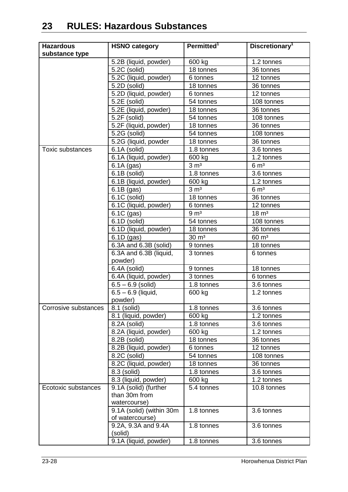| <b>Hazardous</b>     | <b>HSNO category</b>              | Permitted <sup>1</sup>     | Discretionary <sup>1</sup> |
|----------------------|-----------------------------------|----------------------------|----------------------------|
| substance type       |                                   |                            |                            |
|                      | 5.2B (liquid, powder)             | 600 kg                     | 1.2 tonnes                 |
|                      | 5.2C (solid)                      | 18 tonnes                  | 36 tonnes                  |
|                      | 5.2C (liquid, powder)             | 6 tonnes                   | 12 tonnes                  |
|                      | 5.2D (solid)                      | 18 tonnes                  | 36 tonnes                  |
|                      | 5.2D (liquid, powder)             | 6 tonnes                   | 12 tonnes                  |
|                      | 5.2E (solid)                      | 54 tonnes                  | 108 tonnes                 |
|                      | 5.2E (liquid, powder)             | 18 tonnes                  | 36 tonnes                  |
|                      | 5.2F (solid)                      | 54 tonnes                  | 108 tonnes                 |
|                      | 5.2F (liquid, powder)             | 18 tonnes                  | 36 tonnes                  |
|                      | 5.2G (solid)                      | 54 tonnes                  | 108 tonnes                 |
|                      | 5.2G (liquid, powder              | 18 tonnes                  | 36 tonnes                  |
| Toxic substances     | 6.1A (solid)                      | 1.8 tonnes                 | 3.6 tonnes                 |
|                      | 6.1A (liquid, powder)             | 600 kg                     | 1.2 tonnes                 |
|                      | $6.1A$ (gas)                      | $3 \, \text{m}^3$          | 6 m <sup>3</sup>           |
|                      | 6.1B (solid)                      | 1.8 tonnes                 | 3.6 tonnes                 |
|                      | 6.1B (liquid, powder)             | 600 kg                     | 1.2 tonnes                 |
|                      | $6.1B$ (gas)                      | $3 \, \text{m}^3$          | $6 \, \mathrm{m}^3$        |
|                      | $\overline{6.1}$ C (solid)        | 18 tonnes                  | 36 tonnes                  |
|                      | 6.1C (liquid, powder)             | 6 tonnes                   | 12 tonnes                  |
|                      | 6.1C (gas)                        | 9 <sub>m<sup>3</sup></sub> | $18 \text{ m}^3$           |
|                      | 6.1D (solid)                      | 54 tonnes                  | 108 tonnes                 |
|                      | 6.1D (liquid, powder)             | 18 tonnes                  | 36 tonnes                  |
|                      | $6.1D$ (gas)                      | $30 \text{ m}^3$           | $60 \text{ m}^3$           |
|                      | 6.3A and 6.3B (solid)             | 9 tonnes                   | 18 tonnes                  |
|                      | 6.3A and 6.3B (liquid,<br>powder) | 3 tonnes                   | 6 tonnes                   |
|                      | 6.4A (solid)                      | 9 tonnes                   | 18 tonnes                  |
|                      | 6.4A (liquid, powder)             | 3 tonnes                   | 6 tonnes                   |
|                      | $6.5 - 6.9$ (solid)               | 1.8 tonnes                 | 3.6 tonnes                 |
|                      | $6.5 - 6.9$ (liquid,              | 600 kg                     | 1.2 tonnes                 |
|                      | powder)                           |                            |                            |
| Corrosive substances | 8.1 (solid)                       | 1.8 tonnes                 | 3.6 tonnes                 |
|                      | 8.1 (liquid, powder)              | 600 kg                     | 1.2 tonnes                 |
|                      | 8.2A (solid)                      | 1.8 tonnes                 | 3.6 tonnes                 |
|                      | 8.2A (liquid, powder)             | 600 kg                     | 1.2 tonnes                 |
|                      | 8.2B (solid)                      | 18 tonnes                  | 36 tonnes                  |
|                      | 8.2B (liquid, powder)             | 6 tonnes                   | 12 tonnes                  |
|                      | 8.2C (solid)                      | 54 tonnes                  | 108 tonnes                 |
|                      | 8.2C (liquid, powder)             | 18 tonnes                  | 36 tonnes                  |
|                      | $\overline{8.3}$ (solid)          | 1.8 tonnes                 | 3.6 tonnes                 |
|                      | 8.3 (liquid, powder)              | 600 kg                     | 1.2 tonnes                 |
| Ecotoxic substances  | 9.1A (solid) (further             | 5.4 tonnes                 | 10.8 tonnes                |
|                      | than 30m from                     |                            |                            |
|                      | watercourse)                      |                            |                            |
|                      | 9.1A (solid) (within 30m          | 1.8 tonnes                 | 3.6 tonnes                 |
|                      | of watercourse)                   | 1.8 tonnes                 | 3.6 tonnes                 |
|                      | 9.2A, 9.3A and 9.4A<br>(solid)    |                            |                            |
|                      | 9.1A (liquid, powder)             | 1.8 tonnes                 | 3.6 tonnes                 |
|                      |                                   |                            |                            |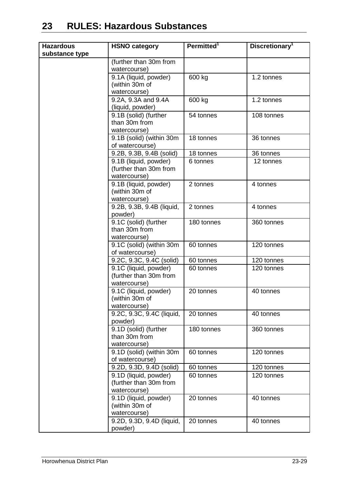| <b>Hazardous</b> | <b>HSNO category</b>                                            | Permitted <sup>1</sup> | Discretionary <sup>1</sup> |
|------------------|-----------------------------------------------------------------|------------------------|----------------------------|
| substance type   |                                                                 |                        |                            |
|                  | (further than 30m from<br>watercourse)                          |                        |                            |
|                  | 9.1A (liquid, powder)<br>(within 30m of<br>watercourse)         | 600 kg                 | 1.2 tonnes                 |
|                  | 9.2A, 9.3A and 9.4A<br>(liquid, powder)                         | 600 kg                 | $\overline{1}$ .2 tonnes   |
|                  | 9.1B (solid) (further<br>than 30m from<br>watercourse)          | 54 tonnes              | 108 tonnes                 |
|                  | 9.1B (solid) (within 30m<br>of watercourse)                     | 18 tonnes              | 36 tonnes                  |
|                  | 9.2B, 9.3B, 9.4B (solid)                                        | 18 tonnes              | 36 tonnes                  |
|                  | 9.1B (liquid, powder)<br>(further than 30m from<br>watercourse) | 6 tonnes               | 12 tonnes                  |
|                  | 9.1B (liquid, powder)<br>(within 30m of<br>watercourse)         | 2 tonnes               | 4 tonnes                   |
|                  | 9.2B, 9.3B, 9.4B (liquid,<br>powder)                            | 2 tonnes               | 4 tonnes                   |
|                  | 9.1C (solid) (further<br>than 30m from<br>watercourse)          | 180 tonnes             | 360 tonnes                 |
|                  | 9.1C (solid) (within 30m<br>of watercourse)                     | 60 tonnes              | 120 tonnes                 |
|                  | 9.2C, 9.3C, 9.4C (solid)                                        | 60 tonnes              | 120 tonnes                 |
|                  | 9.1C (liquid, powder)<br>(further than 30m from<br>watercourse) | 60 tonnes              | 120 tonnes                 |
|                  | 9.1C (liquid, powder)<br>(within 30m of<br>watercourse)         | 20 tonnes              | 40 tonnes                  |
|                  | 9.2C, 9.3C, 9.4C (liquid,<br>powder)                            | 20 tonnes              | 40 tonnes                  |
|                  | 9.1D (solid) (further<br>than 30m from<br>watercourse)          | 180 tonnes             | 360 tonnes                 |
|                  | 9.1D (solid) (within 30m<br>of watercourse)                     | 60 tonnes              | 120 tonnes                 |
|                  | 9.2D, 9.3D, 9.4D (solid)                                        | 60 tonnes              | 120 tonnes                 |
|                  | 9.1D (liquid, powder)<br>(further than 30m from<br>watercourse) | 60 tonnes              | 120 tonnes                 |
|                  | 9.1D (liquid, powder)<br>(within 30m of<br>watercourse)         | 20 tonnes              | 40 tonnes                  |
|                  | 9.2D, 9.3D, 9.4D (liquid,<br>powder)                            | 20 tonnes              | 40 tonnes                  |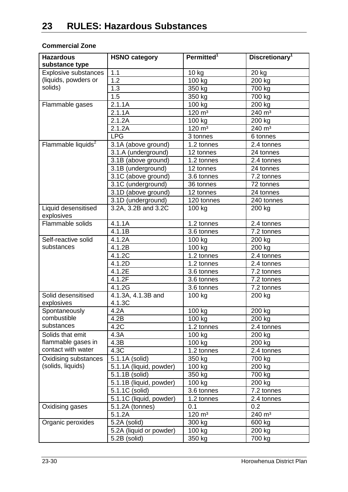#### **Commercial Zone**

| <b>Hazardous</b><br>substance type | <b>HSNO category</b>         | Permitted <sup>1</sup> | Discretionary <sup>1</sup>   |
|------------------------------------|------------------------------|------------------------|------------------------------|
| <b>Explosive substances</b>        | 1.1                          | 10 kg                  | 20 kg                        |
| (liquids, powders or               | 1.2                          | 100 kg                 | 200 kg                       |
| solids)                            | 1.3                          | 350 kg                 | 700 kg                       |
|                                    | 1.5                          | 350 kg                 | 700 kg                       |
| Flammable gases                    | 2.1.1A                       | 100 kg                 | 200 kg                       |
|                                    | 2.1.1A                       | $120 \; \text{m}^3$    | 240 m <sup>3</sup>           |
|                                    | 2.1.2A                       | 100 kg                 | 200 kg                       |
|                                    | 2.1.2A                       | $120 \; \text{m}^3$    | 240 m <sup>3</sup>           |
|                                    | <b>LPG</b>                   | 3 tonnes               | 6 tonnes                     |
| Flammable liquids <sup>2</sup>     | 3.1A (above ground)          | 1.2 tonnes             | 2.4 tonnes                   |
|                                    | 3.1.A (underground)          | 12 tonnes              | 24 tonnes                    |
|                                    | 3.1B (above ground)          | 1.2 tonnes             | 2.4 tonnes                   |
|                                    | 3.1B (underground)           | 12 tonnes              | 24 tonnes                    |
|                                    | 3.1C (above ground)          | 3.6 tonnes             | 7.2 tonnes                   |
|                                    | 3.1C (underground)           | 36 tonnes              | 72 tonnes                    |
|                                    | 3.1D (above ground)          | 12 tonnes              | 24 tonnes                    |
|                                    | 3.1D (underground)           | 120 tonnes             | 240 tonnes                   |
| Liquid desensitised                | 3.2A, 3.2B and 3.2C          | 100 kg                 | 200 kg                       |
| explosives                         |                              |                        |                              |
| Flammable solids                   | 4.1.1A                       | 1.2 tonnes             | 2.4 tonnes                   |
|                                    | 4.1.1B                       | 3.6 tonnes             | 7.2 tonnes                   |
| Self-reactive solid                | 4.1.2A                       | 100 kg                 | 200 kg                       |
| substances                         | 4.1.2B                       | 100 kg                 | 200 kg                       |
|                                    | 4.1.2C                       | 1.2 tonnes             | 2.4 tonnes                   |
|                                    | 4.1.2D                       | 1.2 tonnes             | 2.4 tonnes                   |
|                                    | 4.1.2E                       | 3.6 tonnes             | 7.2 tonnes                   |
|                                    | 4.1.2F                       | 3.6 tonnes             | 7.2 tonnes                   |
|                                    | 4.1.2G                       | 3.6 tonnes             | 7.2 tonnes                   |
| Solid desensitised<br>explosives   | 4.1.3A, 4.1.3B and<br>4.1.3C | 100 kg                 | 200 kg                       |
| Spontaneously                      | 4.2A                         | 100 kg                 | 200 kg                       |
| combustible                        | 4.2B                         | 100 kg                 | 200 kg                       |
| substances                         | 4.2C                         | 1.2 tonnes             | 2.4 tonnes                   |
| Solids that emit                   | 4.3A                         | 100 kg                 | 200 kg                       |
| flammable gases in                 | 4.3B                         | 100 kg                 | 200 kg                       |
| contact with water                 | 4.3C                         | 1.2 tonnes             | 2.4 tonnes                   |
| Oxidising substances               | 5.1.1A (solid)               | 350 kg                 | 700 kg                       |
| (solids, liquids)                  | 5.1.1A (liquid, powder)      | 100 kg                 | 200 kg                       |
|                                    | 5.1.1B (solid)               | 350 kg                 | 700 kg                       |
|                                    | 5.1.1B (liquid, powder)      | 100 kg                 | 200 kg                       |
|                                    | 5.1.1C (solid)               | 3.6 tonnes             | 7.2 tonnes                   |
|                                    | 5.1.1C (liquid, powder)      | 1.2 tonnes             | 2.4 tonnes                   |
| Oxidising gases                    | 5.1.2A (tonnes)              | 0.1                    | 0.2                          |
|                                    | 5.1.2A                       | $120 \; \text{m}^3$    | $\overline{2}40 \text{ m}^3$ |
| Organic peroxides                  | 5.2A (solid)                 | 300 kg                 | 600 kg                       |
|                                    | 5.2A (liquid or powder)      | 100 kg                 | 200 kg                       |
|                                    | 5.2B (solid)                 | 350 kg                 | 700 kg                       |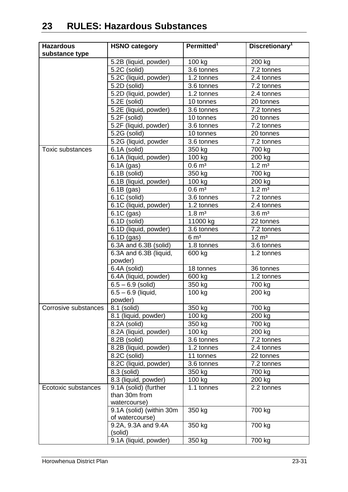| <b>Hazardous</b>     | <b>HSNO category</b>                   | Permitted <sup>1</sup> | Discretionary <sup>1</sup> |
|----------------------|----------------------------------------|------------------------|----------------------------|
| substance type       |                                        |                        |                            |
|                      | 5.2B (liquid, powder)                  | 100 kg                 | 200 kg                     |
|                      | 5.2C (solid)                           | 3.6 tonnes             | 7.2 tonnes                 |
|                      | 5.2C (liquid, powder)                  | 1.2 tonnes             | 2.4 tonnes                 |
|                      | 5.2D (solid)                           | 3.6 tonnes             | 7.2 tonnes                 |
|                      | 5.2D (liquid, powder)                  | 1.2 tonnes             | 2.4 tonnes                 |
|                      | 5.2E (solid)                           | 10 tonnes              | 20 tonnes                  |
|                      | 5.2E (liquid, powder)                  | 3.6 tonnes             | 7.2 tonnes                 |
|                      | 5.2F (solid)                           | 10 tonnes              | 20 tonnes                  |
|                      | 5.2F (liquid, powder)                  | 3.6 tonnes             | 7.2 tonnes                 |
|                      | 5.2G (solid)                           | 10 tonnes              | 20 tonnes                  |
|                      | 5.2G (liquid, powder                   | 3.6 tonnes             | 7.2 tonnes                 |
| Toxic substances     | 6.1A (solid)                           | 350 kg                 | 700 kg                     |
|                      | 6.1A (liquid, powder)                  | 100 kg                 | 200 kg                     |
|                      | $6.1A$ (gas)                           | $0.6 \, \text{m}^3$    | $1.2 \, \text{m}^3$        |
|                      | $\overline{6.1}B$ (solid)              | 350 kg                 | 700 kg                     |
|                      | 6.1B (liquid, powder)                  | 100 kg                 | 200 kg                     |
|                      | $6.1B$ (gas)                           | $0.6 \, \text{m}^3$    | $1.2 \, \text{m}^3$        |
|                      | 6.1C (solid)                           | 3.6 tonnes             | 7.2 tonnes                 |
|                      | 6.1C (liquid, powder)                  | 1.2 tonnes             | 2.4 tonnes                 |
|                      | $\overline{6.1C}$ (gas)                | $1.8 \, \text{m}^3$    | $3.6 \text{ m}^3$          |
|                      | 6.1D (solid)                           | 11000 kg               | 22 tonnes                  |
|                      | 6.1D (liquid, powder)                  | 3.6 tonnes             | 7.2 tonnes                 |
|                      | $6.1D$ (gas)                           | 6 m <sup>3</sup>       | $12 \text{ m}^3$           |
|                      | 6.3A and 6.3B (solid)                  | 1.8 tonnes             | 3.6 tonnes                 |
|                      | 6.3A and 6.3B (liquid,<br>powder)      | 600 kg                 | 1.2 tonnes                 |
|                      | 6.4A (solid)                           | 18 tonnes              | 36 tonnes                  |
|                      | 6.4A (liquid, powder)                  | 600 kg                 | 1.2 tonnes                 |
|                      | $6.5 - 6.9$ (solid)                    | 350 kg                 | 700 kg                     |
|                      | $6.5 - 6.9$ (liquid,                   | 100 kg                 | 200 kg                     |
|                      | powder)                                |                        |                            |
| Corrosive substances | 8.1 (solid)                            | 350 kg                 | 700 kg                     |
|                      | 8.1 (liquid, powder)                   | 100 kg                 | 200 kg                     |
|                      | 8.2A (solid)                           | 350 kg                 | 700 kg                     |
|                      | 8.2A (liquid, powder)                  | 100 kg                 | 200 kg                     |
|                      | $\overline{8.2B}$ (solid)              | 3.6 tonnes             | 7.2 tonnes                 |
|                      | 8.2B (liquid, powder)                  | 1.2 tonnes             | 2.4 tonnes                 |
|                      | 8.2C (solid)                           | 11 tonnes              | 22 tonnes                  |
|                      | 8.2C (liquid, powder)                  | 3.6 tonnes             | 7.2 tonnes                 |
|                      | 8.3 (solid)                            | 350 kg                 | 700 kg                     |
|                      | 8.3 (liquid, powder)                   | 100 kg                 | 200 kg                     |
| Ecotoxic substances  | 9.1A (solid) (further                  | 1.1 tonnes             | 2.2 tonnes                 |
|                      | than 30m from                          |                        |                            |
|                      | watercourse)                           |                        |                            |
|                      | 9.1A (solid) (within 30m               | 350 kg                 | 700 kg                     |
|                      | of watercourse)<br>9.2A, 9.3A and 9.4A | 350 kg                 | 700 kg                     |
|                      | (solid)                                |                        |                            |
|                      | 9.1A (liquid, powder)                  | 350 kg                 | 700 kg                     |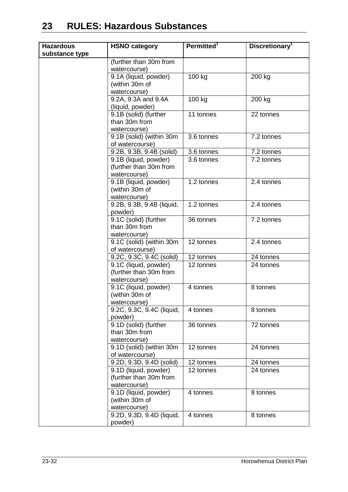| <b>Hazardous</b><br>substance type | <b>HSNO category</b>                                            | Permitted <sup>1</sup>  | Discretionary <sup>1</sup> |
|------------------------------------|-----------------------------------------------------------------|-------------------------|----------------------------|
|                                    | (further than 30m from<br>watercourse)                          |                         |                            |
|                                    | 9.1A (liquid, powder)<br>(within 30m of<br>watercourse)         | 100 kg                  | 200 kg                     |
|                                    | 9.2A, 9.3A and 9.4A<br>(liquid, powder)                         | 100 kg                  | 200 kg                     |
|                                    | 9.1B (solid) (further<br>than 30m from<br>watercourse)          | 11 tonnes               | 22 tonnes                  |
|                                    | 9.1B (solid) (within 30m<br>of watercourse)                     | 3.6 tonnes              | 7.2 tonnes                 |
|                                    | 9.2B, 9.3B, 9.4B (solid)                                        | 3.6 tonnes              | 7.2 tonnes                 |
|                                    | 9.1B (liquid, powder)<br>(further than 30m from<br>watercourse) | 3.6 tonnes              | 7.2 tonnes                 |
|                                    | 9.1B (liquid, powder)<br>(within 30m of<br>watercourse)         | $\overline{1.2}$ tonnes | 2.4 tonnes                 |
|                                    | 9.2B, 9.3B, 9.4B (liquid,<br>powder)                            | 1.2 tonnes              | 2.4 tonnes                 |
|                                    | 9.1C (solid) (further<br>than 30m from<br>watercourse)          | 36 tonnes               | 7.2 tonnes                 |
|                                    | 9.1C (solid) (within 30m<br>of watercourse)                     | 12 tonnes               | 2.4 tonnes                 |
|                                    | 9.2C, 9.3C, 9.4C (solid)                                        | 12 tonnes               | 24 tonnes                  |
|                                    | 9.1C (liquid, powder)<br>(further than 30m from<br>watercourse) | 12 tonnes               | 24 tonnes                  |
|                                    | 9.1C (liquid, powder)<br>(within 30m of<br>watercourse)         | 4 tonnes                | 8 tonnes                   |
|                                    | 9.2C, 9.3C, 9.4C (liquid,<br>powder)                            | 4 tonnes                | 8 tonnes                   |
|                                    | 9.1D (solid) (further<br>than 30m from<br>watercourse)          | 36 tonnes               | 72 tonnes                  |
|                                    | 9.1D (solid) (within 30m<br>of watercourse)                     | 12 tonnes               | 24 tonnes                  |
|                                    | 9.2D, 9.3D, 9.4D (solid)                                        | 12 tonnes               | 24 tonnes                  |
|                                    | 9.1D (liquid, powder)<br>(further than 30m from<br>watercourse) | 12 tonnes               | 24 tonnes                  |
|                                    | 9.1D (liquid, powder)<br>(within 30m of<br>watercourse)         | 4 tonnes                | 8 tonnes                   |
|                                    | 9.2D, 9.3D, 9.4D (liquid,<br>powder)                            | 4 tonnes                | 8 tonnes                   |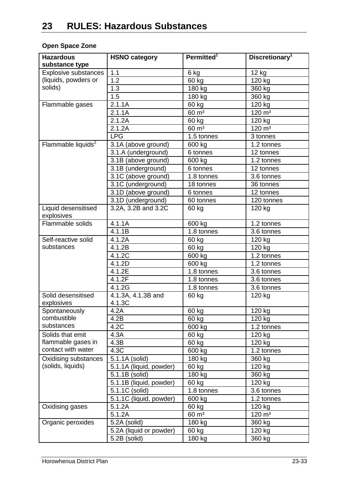### **Open Space Zone**

| <b>Hazardous</b><br>substance type | <b>HSNO category</b>         | Permitted <sup>1</sup> | Discretionary <sup>1</sup>      |
|------------------------------------|------------------------------|------------------------|---------------------------------|
| Explosive substances               | 1.1                          | 6 kg                   | 12 kg                           |
| (liquids, powders or               | 1.2                          | 60 kg                  | 120 kg                          |
| solids)                            | 1.3                          | 180 kg                 | 360 kg                          |
|                                    | 1.5                          | 180 kg                 | 360 kg                          |
| Flammable gases                    | 2.1.1A                       | 60 kg                  | 120 kg                          |
|                                    | 2.1.1A                       | $60 \text{ m}^3$       | $\overline{120}$ m <sup>3</sup> |
|                                    | 2.1.2A                       | 60 kg                  | 120 kg                          |
|                                    | 2.1.2A                       | $60 \text{ m}^3$       | $120 \; \text{m}^3$             |
|                                    | <b>LPG</b>                   | 1.5 tonnes             | 3 tonnes                        |
| Flammable liquids <sup>2</sup>     | 3.1A (above ground)          | 600 kg                 | 1.2 tonnes                      |
|                                    | 3.1.A (underground)          | 6 tonnes               | 12 tonnes                       |
|                                    | 3.1B (above ground)          | 600 kg                 | 1.2 tonnes                      |
|                                    | 3.1B (underground)           | 6 tonnes               | 12 tonnes                       |
|                                    | 3.1C (above ground)          | 1.8 tonnes             | 3.6 tonnes                      |
|                                    | 3.1C (underground)           | 18 tonnes              | 36 tonnes                       |
|                                    | 3.1D (above ground)          | 6 tonnes               | 12 tonnes                       |
|                                    | 3.1D (underground)           | 60 tonnes              | 120 tonnes                      |
| Liquid desensitised                | 3.2A, 3.2B and 3.2C          | 60 kg                  | 120 kg                          |
| explosives                         |                              |                        |                                 |
| Flammable solids                   | 4.1.1A                       | 600 kg                 | 1.2 tonnes                      |
|                                    | 4.1.1B                       | 1.8 tonnes             | 3.6 tonnes                      |
| Self-reactive solid                | 4.1.2A                       | 60 kg                  | 120 kg                          |
| substances                         | 4.1.2B                       | 60 kg                  | 120 kg                          |
|                                    | 4.1.2C                       | 600 kg                 | 1.2 tonnes                      |
|                                    | 4.1.2D                       | 600 kg                 | 1.2 tonnes                      |
|                                    | 4.1.2E                       | 1.8 tonnes             | 3.6 tonnes                      |
|                                    | 4.1.2F                       | 1.8 tonnes             | 3.6 tonnes                      |
|                                    | 4.1.2G                       | 1.8 tonnes             | 3.6 tonnes                      |
| Solid desensitised<br>explosives   | 4.1.3A, 4.1.3B and<br>4.1.3C | 60 kg                  | 120 kg                          |
| Spontaneously                      | 4.2A                         | 60 kg                  | 120 kg                          |
| combustible                        | 4.2B                         | 60 kg                  | 120 kg                          |
| substances                         | 4.2C                         | 600 kg                 | 1.2 tonnes                      |
| Solids that emit                   | 4.3A                         | 60 kg                  | 120 kg                          |
| flammable gases in                 | 4.3B                         | 60 kg                  | 120 kg                          |
| contact with water                 | 4.3C                         | 600 kg                 | 1.2 tonnes                      |
| <b>Oxidising substances</b>        | 5.1.1A (solid)               | 180 kg                 | 360 kg                          |
| (solids, liquids)                  | 5.1.1A (liquid, powder)      | 60 kg                  | 120 kg                          |
|                                    | 5.1.1B (solid)               | 180 kg                 | 360 kg                          |
|                                    | 5.1.1B (liquid, powder)      | 60 kg                  | 120 kg                          |
|                                    | 5.1.1C (solid)               | 1.8 tonnes             | 3.6 tonnes                      |
|                                    | 5.1.1C (liquid, powder)      | 600 kg                 | 1.2 tonnes                      |
| Oxidising gases                    | 5.1.2A                       | 60 kg                  | 120 kg                          |
|                                    | 5.1.2A                       | $60 \text{ m}^3$       | $120 \; \text{m}^3$             |
| Organic peroxides                  | 5.2A (solid)                 | 180 kg                 | 360 kg                          |
|                                    | 5.2A (liquid or powder)      | 60 kg                  | 120 kg                          |
|                                    | 5.2B (solid)                 | 180 kg                 | 360 kg                          |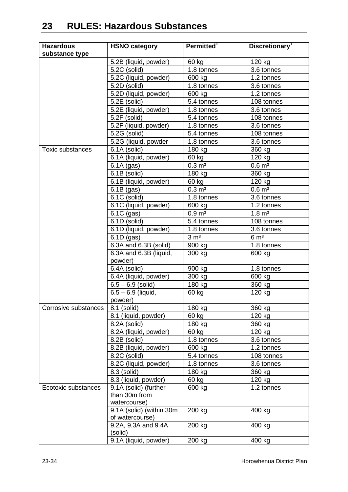| <b>Hazardous</b>     | <b>HSNO category</b>                        | Permitted <sup>1</sup> | Discretionary <sup>1</sup> |
|----------------------|---------------------------------------------|------------------------|----------------------------|
| substance type       |                                             |                        |                            |
|                      | 5.2B (liquid, powder)                       | 60 kg                  | 120 kg                     |
|                      | 5.2C (solid)                                | 1.8 tonnes             | 3.6 tonnes                 |
|                      | 5.2C (liquid, powder)                       | 600 kg                 | 1.2 tonnes                 |
|                      | 5.2D (solid)                                | 1.8 tonnes             | 3.6 tonnes                 |
|                      | 5.2D (liquid, powder)                       | 600 kg                 | 1.2 tonnes                 |
|                      | 5.2E (solid)                                | 5.4 tonnes             | 108 tonnes                 |
|                      | 5.2E (liquid, powder)                       | 1.8 tonnes             | 3.6 tonnes                 |
|                      | 5.2F (solid)                                | 5.4 tonnes             | 108 tonnes                 |
|                      | 5.2F (liquid, powder)                       | 1.8 tonnes             | 3.6 tonnes                 |
|                      | 5.2G (solid)                                | 5.4 tonnes             | 108 tonnes                 |
|                      | 5.2G (liquid, powder                        | 1.8 tonnes             | 3.6 tonnes                 |
| Toxic substances     | 6.1A (solid)                                | 180 kg                 | 360 kg                     |
|                      | 6.1A (liquid, powder)                       | 60 kg                  | 120 kg                     |
|                      | $6.1A$ (gas)                                | $0.3 \, \text{m}^3$    | $0.6 \, \text{m}^3$        |
|                      | 6.1B (solid)                                | 180 kg                 | 360 kg                     |
|                      | 6.1B (liquid, powder)                       | 60 kg                  | 120 kg                     |
|                      | $6.1B$ (gas)                                | $0.3 \, \text{m}^3$    | $0.6 \; \text{m}^3$        |
|                      | 6.1C (solid)                                | 1.8 tonnes             | 3.6 tonnes                 |
|                      | 6.1C (liquid, powder)                       | 600 kg                 | 1.2 tonnes                 |
|                      | 6.1C (gas)                                  | $0.9 \, \text{m}^3$    | $1.8 \, \text{m}^3$        |
|                      | 6.1D (solid)                                | 5.4 tonnes             | 108 tonnes                 |
|                      | 6.1D (liquid, powder)                       | 1.8 tonnes             | 3.6 tonnes                 |
|                      | $6.1D$ (gas)                                | 3 m <sup>3</sup>       | 6 m <sup>3</sup>           |
|                      | 6.3A and 6.3B (solid)                       | 900 kg                 | 1.8 tonnes                 |
|                      | 6.3A and 6.3B (liquid,                      | 300 kg                 | 600 kg                     |
|                      | powder)                                     |                        |                            |
|                      | 6.4A (solid)                                | 900 kg                 | 1.8 tonnes                 |
|                      | 6.4A (liquid, powder)                       | 300 kg                 | 600 kg                     |
|                      | $6.5 - 6.9$ (solid)                         | 180 kg                 | 360 kg                     |
|                      | $6.5 - 6.9$ (liquid,                        | 60 kg                  | 120 kg                     |
|                      | powder)                                     |                        |                            |
| Corrosive substances | 8.1 (solid)                                 | 180 kg                 | 360 kg                     |
|                      | 8.1 (liquid, powder)                        | 60 kg                  | 120 kg                     |
|                      | 8.2A (solid)                                | 180 kg                 | 360 kg                     |
|                      | 8.2A (liquid, powder)                       | 60 kg                  | 120 kg                     |
|                      | $\overline{8.2B}$ (solid)                   | 1.8 tonnes             | 3.6 tonnes                 |
|                      | 8.2B (liquid, powder)                       | 600 kg                 | 1.2 tonnes                 |
|                      | $\overline{8.2}C$ (solid)                   | 5.4 tonnes             | 108 tonnes                 |
|                      | 8.2C (liquid, powder)                       | 1.8 tonnes             | 3.6 tonnes                 |
|                      | 8.3 (solid)                                 | 180 kg                 | 360 kg                     |
|                      | 8.3 (liquid, powder)                        | 60 kg                  | 120 kg                     |
| Ecotoxic substances  | 9.1A (solid) (further                       | 600 kg                 | 1.2 tonnes                 |
|                      | than 30m from                               |                        |                            |
|                      | watercourse)                                |                        |                            |
|                      | 9.1A (solid) (within 30m<br>of watercourse) | 200 kg                 | 400 kg                     |
|                      | 9.2A, 9.3A and 9.4A                         | 200 kg                 | 400 kg                     |
|                      | (solid)                                     |                        |                            |
|                      | 9.1A (liquid, powder)                       | 200 kg                 | 400 kg                     |
|                      |                                             |                        |                            |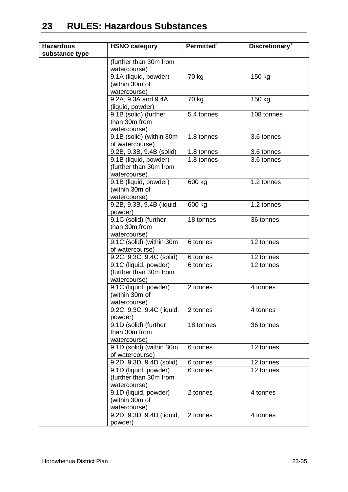| <b>Hazardous</b> | <b>HSNO category</b>                      | Permitted <sup>1</sup> | Discretionary <sup>1</sup> |
|------------------|-------------------------------------------|------------------------|----------------------------|
| substance type   |                                           |                        |                            |
|                  | (further than 30m from                    |                        |                            |
|                  | watercourse)                              |                        |                            |
|                  | 9.1A (liquid, powder)                     | 70 kg                  | 150 kg                     |
|                  | (within 30m of                            |                        |                            |
|                  | watercourse)                              |                        |                            |
|                  | 9.2A, 9.3A and 9.4A                       | 70 kg                  | 150 kg                     |
|                  | (liquid, powder)                          |                        |                            |
|                  | 9.1B (solid) (further                     | 5.4 tonnes             | 108 tonnes                 |
|                  | than 30m from                             |                        |                            |
|                  | watercourse)<br>9.1B (solid) (within 30m  | 1.8 tonnes             | 3.6 tonnes                 |
|                  | of watercourse)                           |                        |                            |
|                  | 9.2B, 9.3B, 9.4B (solid)                  | 1.8 tonnes             | 3.6 tonnes                 |
|                  | 9.1B (liquid, powder)                     | 1.8 tonnes             | 3.6 tonnes                 |
|                  | (further than 30m from                    |                        |                            |
|                  | watercourse)                              |                        |                            |
|                  | 9.1B (liquid, powder)                     | 600 kg                 | 1.2 tonnes                 |
|                  | (within 30m of                            |                        |                            |
|                  | watercourse)                              |                        |                            |
|                  | 9.2B, 9.3B, 9.4B (liquid,                 | 600 kg                 | 1.2 tonnes                 |
|                  | powder)                                   |                        |                            |
|                  | 9.1C (solid) (further                     | 18 tonnes              | 36 tonnes                  |
|                  | than 30m from                             |                        |                            |
|                  | watercourse)                              |                        |                            |
|                  | 9.1C (solid) (within 30m                  | 6 tonnes               | 12 tonnes                  |
|                  | of watercourse)                           |                        |                            |
|                  | 9.2C, 9.3C, 9.4C (solid)                  | 6 tonnes               | 12 tonnes                  |
|                  | 9.1C (liquid, powder)                     | 6 tonnes               | 12 tonnes                  |
|                  | (further than 30m from                    |                        |                            |
|                  | watercourse)                              |                        |                            |
|                  | 9.1C (liquid, powder)                     | 2 tonnes               | 4 tonnes                   |
|                  | (within 30m of                            |                        |                            |
|                  | watercourse)<br>9.2C, 9.3C, 9.4C (liquid, | 2 tonnes               | 4 tonnes                   |
|                  | powder)                                   |                        |                            |
|                  | 9.1D (solid) (further                     | 18 tonnes              | 36 tonnes                  |
|                  | than 30m from                             |                        |                            |
|                  | watercourse)                              |                        |                            |
|                  | 9.1D (solid) (within 30m                  | 6 tonnes               | 12 tonnes                  |
|                  | of watercourse)                           |                        |                            |
|                  | 9.2D, 9.3D, 9.4D (solid)                  | 6 tonnes               | 12 tonnes                  |
|                  | 9.1D (liquid, powder)                     | 6 tonnes               | 12 tonnes                  |
|                  | (further than 30m from                    |                        |                            |
|                  | watercourse)                              |                        |                            |
|                  | 9.1D (liquid, powder)                     | 2 tonnes               | 4 tonnes                   |
|                  | (within 30m of                            |                        |                            |
|                  | watercourse)                              |                        |                            |
|                  | 9.2D, 9.3D, 9.4D (liquid,                 | 2 tonnes               | 4 tonnes                   |
|                  | powder)                                   |                        |                            |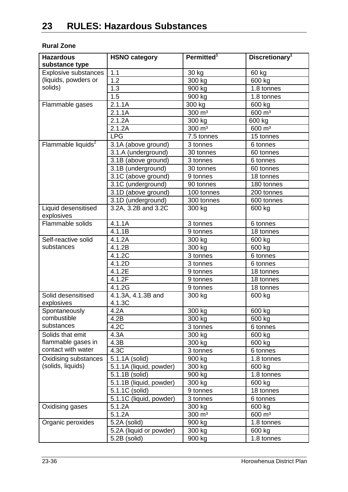#### **Rural Zone**

| <b>Hazardous</b><br>substance type | <b>HSNO category</b>           | Permitted <sup>1</sup> | Discretionary <sup>1</sup> |
|------------------------------------|--------------------------------|------------------------|----------------------------|
| <b>Explosive substances</b>        | 1.1                            | 30 kg                  | 60 kg                      |
| (liquids, powders or               | 1.2                            | 300 kg                 | 600 kg                     |
| solids)                            | 1.3                            | 900 kg                 | 1.8 tonnes                 |
|                                    | 1.5                            | 900 kg                 | 1.8 tonnes                 |
| Flammable gases                    | 2.1.1A                         | 300 kg                 | 600 kg                     |
|                                    | 2.1.1A                         | 300 $\overline{m^3}$   | $600 \, \text{m}^3$        |
|                                    | 2.1.2A                         | 300 kg                 | 600 kg                     |
|                                    | 2.1.2A                         | $300 \text{ m}^3$      | $600 \, \text{m}^3$        |
|                                    | <b>LPG</b>                     | 7.5 tonnes             | 15 tonnes                  |
| Flammable liquids <sup>2</sup>     | 3.1A (above ground)            | 3 tonnes               | 6 tonnes                   |
|                                    | 3.1.A (underground)            | 30 tonnes              | 60 tonnes                  |
|                                    | 3.1B (above ground)            | 3 tonnes               | 6 tonnes                   |
|                                    | 3.1B (underground)             | 30 tonnes              | 60 tonnes                  |
|                                    | 3.1C (above ground)            | 9 tonnes               | 18 tonnes                  |
|                                    | 3.1C (underground)             | 90 tonnes              | 180 tonnes                 |
|                                    | 3.1D (above ground)            | 100 tonnes             | 200 tonnes                 |
|                                    | 3.1D (underground)             | 300 tonnes             | 600 tonnes                 |
| Liquid desensitised                | 3.2A, 3.2B and 3.2C            | 300 kg                 | 600 kg                     |
| explosives                         |                                |                        |                            |
| Flammable solids                   | 4.1.1A                         | 3 tonnes               | 6 tonnes                   |
|                                    | 4.1.1B                         | 9 tonnes               | 18 tonnes                  |
| Self-reactive solid                | 4.1.2A                         | 300 kg                 | 600 kg                     |
| substances                         | 4.1.2B                         | 300 kg                 | 600 kg                     |
|                                    | 4.1.2C                         | 3 tonnes               | 6 tonnes                   |
|                                    | 4.1.2D                         | 3 tonnes               | 6 tonnes                   |
|                                    | 4.1.2E                         | 9 tonnes               | 18 tonnes                  |
|                                    | 4.1.2F                         | 9 tonnes               | 18 tonnes                  |
|                                    | 4.1.2G                         | 9 tonnes               | 18 tonnes                  |
| Solid desensitised<br>explosives   | $4.1.3A, 4.1.3B$ and<br>4.1.3C | 300 kg                 | 600 kg                     |
| Spontaneously                      | 4.2A                           | 300 kg                 | 600 kg                     |
| combustible                        | 4.2B                           | 300 kg                 | 600 kg                     |
| substances                         | 4.2C                           | 3 tonnes               | 6 tonnes                   |
| Solids that emit                   | 4.3A                           | 300 kg                 | 600 kg                     |
| flammable gases in                 | 4.3B                           | 300 kg                 | 600 kg                     |
| contact with water                 | 4.3C                           | 3 tonnes               | 6 tonnes                   |
| Oxidising substances               | 5.1.1A (solid)                 | 900 kg                 | 1.8 tonnes                 |
| (solids, liquids)                  | 5.1.1A (liquid, powder)        | 300 kg                 | 600 kg                     |
|                                    | 5.1.1B (solid)                 | 900 kg                 | 1.8 tonnes                 |
|                                    | 5.1.1B (liquid, powder)        | 300 kg                 | 600 kg                     |
|                                    | 5.1.1C (solid)                 | 9 tonnes               | 18 tonnes                  |
|                                    | 5.1.1C (liquid, powder)        | 3 tonnes               | 6 tonnes                   |
| Oxidising gases                    | 5.1.2A                         | 300 kg                 | 600 kg                     |
|                                    | 5.1.2A                         | 300 m <sup>3</sup>     | 600 m <sup>3</sup>         |
| Organic peroxides                  | 5.2A (solid)                   | 900 kg                 | 1.8 tonnes                 |
|                                    | 5.2A (liquid or powder)        | 300 kg                 | 600 kg                     |
|                                    | 5.2B (solid)                   | 900 kg                 | 1.8 tonnes                 |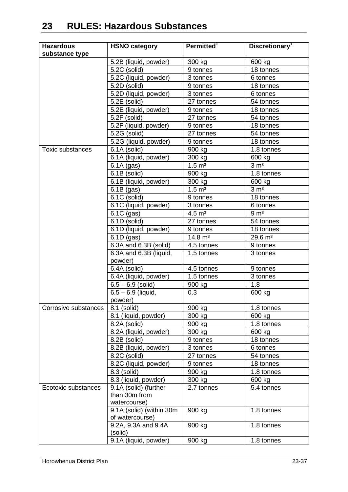| <b>Hazardous</b>     | <b>HSNO category</b>                        | Permitted <sup>1</sup> | Discretionary <sup>1</sup> |
|----------------------|---------------------------------------------|------------------------|----------------------------|
| substance type       |                                             |                        |                            |
|                      | 5.2B (liquid, powder)                       | 300 kg                 | 600 kg                     |
|                      | 5.2C (solid)                                | 9 tonnes               | 18 tonnes                  |
|                      | 5.2C (liquid, powder)                       | 3 tonnes               | 6 tonnes                   |
|                      | $\overline{5.2}D$ (solid)                   | 9 tonnes               | 18 tonnes                  |
|                      | 5.2D (liquid, powder)                       | 3 tonnes               | 6 tonnes                   |
|                      | $\overline{5.2E}$ (solid)                   | 27 tonnes              | 54 tonnes                  |
|                      | 5.2E (liquid, powder)                       | 9 tonnes               | 18 tonnes                  |
|                      | 5.2F (solid)                                | 27 tonnes              | 54 tonnes                  |
|                      | 5.2F (liquid, powder)                       | 9 tonnes               | 18 tonnes                  |
|                      | 5.2G (solid)                                | 27 tonnes              | 54 tonnes                  |
|                      | 5.2G (liquid, powder)                       | 9 tonnes               | 18 tonnes                  |
| Toxic substances     | 6.1A (solid)                                | 900 kg                 | 1.8 tonnes                 |
|                      | 6.1A (liquid, powder)                       | 300 kg                 | 600 kg                     |
|                      | $6.1A$ (gas)                                | $1.5 \, \text{m}^3$    | 3 m <sup>3</sup>           |
|                      | 6.1B (solid)                                | 900 kg                 | 1.8 tonnes                 |
|                      | 6.1B (liquid, powder)                       | 300 kg                 | 600 kg                     |
|                      | $6.1B$ (gas)                                | $1.5 \; \text{m}^3$    | 3 m <sup>3</sup>           |
|                      | 6.1C (solid)                                | 9 tonnes               | 18 tonnes                  |
|                      | 6.1C (liquid, powder)                       | 3 tonnes               | 6 tonnes                   |
|                      | 6.1C (gas)                                  | $4.5 \; \mathrm{m}^3$  | 9 <sub>m<sup>3</sup></sub> |
|                      | 6.1D (solid)                                | 27 tonnes              | 54 tonnes                  |
|                      | 6.1D (liquid, powder)                       | 9 tonnes               | 18 tonnes                  |
|                      | $6.1D$ (gas)                                | $14.8 \text{ m}^3$     | $29.6 \text{ m}^3$         |
|                      | 6.3A and 6.3B (solid)                       | 4.5 tonnes             | 9 tonnes                   |
|                      | 6.3A and 6.3B (liquid,<br>powder)           | 1.5 tonnes             | 3 tonnes                   |
|                      | 6.4A (solid)                                | 4.5 tonnes             | 9 tonnes                   |
|                      | 6.4A (liquid, powder)                       | 1.5 tonnes             | 3 tonnes                   |
|                      | $6.5 - 6.9$ (solid)                         | 900 kg                 | 1.8                        |
|                      | $6.5 - 6.9$ (liquid,                        | 0.3                    | 600 kg                     |
|                      | powder)                                     |                        |                            |
| Corrosive substances | 8.1 (solid)                                 | 900 kg                 | 1.8 tonnes                 |
|                      | 8.1 (liquid, powder)                        | 300 kg                 | 600 kg                     |
|                      | 8.2A (solid)                                | 900 kg                 | 1.8 tonnes                 |
|                      | 8.2A (liquid, powder)                       | 300 kg                 | 600 kg                     |
|                      | $\overline{8.2B}$ (solid)                   | 9 tonnes               | 18 tonnes                  |
|                      | 8.2B (liquid, powder)                       | 3 tonnes               | 6 tonnes                   |
|                      | $\overline{8.2}C$ (solid)                   | 27 tonnes              | 54 tonnes                  |
|                      | 8.2C (liquid, powder)                       | 9 tonnes               | 18 tonnes                  |
|                      | $8.3$ (solid)                               | 900 kg                 | 1.8 tonnes                 |
|                      | 8.3 (liquid, powder)                        | 300 kg                 | 600 kg                     |
| Ecotoxic substances  | 9.1A (solid) (further                       | 2.7 tonnes             | 5.4 tonnes                 |
|                      | than 30m from                               |                        |                            |
|                      | watercourse)                                |                        |                            |
|                      | 9.1A (solid) (within 30m<br>of watercourse) | 900 kg                 | 1.8 tonnes                 |
|                      | 9.2A, 9.3A and 9.4A                         | 900 kg                 | 1.8 tonnes                 |
|                      | (solid)                                     |                        |                            |
|                      | 9.1A (liquid, powder)                       | 900 kg                 | 1.8 tonnes                 |